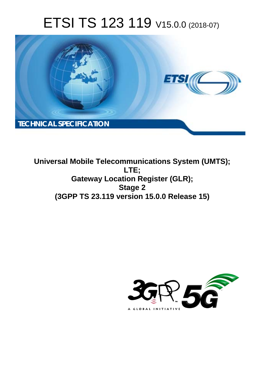# ETSI TS 123 119 V15.0.0 (2018-07)



**Universal Mobile Telecommunications System (UMTS); LTE; Gateway Location Register (GLR); Stage 2 (3GPP TS 23.119 version 15.0.0 Release 15)** 

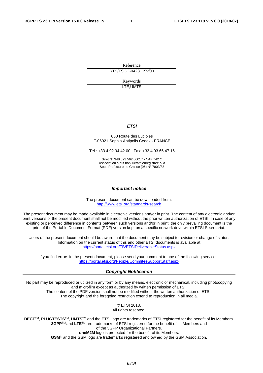Reference RTS/TSGC-0423119vf00

> Keywords LTE,UMTS

### *ETSI*

#### 650 Route des Lucioles F-06921 Sophia Antipolis Cedex - FRANCE

Tel.: +33 4 92 94 42 00 Fax: +33 4 93 65 47 16

Siret N° 348 623 562 00017 - NAF 742 C Association à but non lucratif enregistrée à la Sous-Préfecture de Grasse (06) N° 7803/88

#### *Important notice*

The present document can be downloaded from: <http://www.etsi.org/standards-search>

The present document may be made available in electronic versions and/or in print. The content of any electronic and/or print versions of the present document shall not be modified without the prior written authorization of ETSI. In case of any existing or perceived difference in contents between such versions and/or in print, the only prevailing document is the print of the Portable Document Format (PDF) version kept on a specific network drive within ETSI Secretariat.

Users of the present document should be aware that the document may be subject to revision or change of status. Information on the current status of this and other ETSI documents is available at <https://portal.etsi.org/TB/ETSIDeliverableStatus.aspx>

If you find errors in the present document, please send your comment to one of the following services: <https://portal.etsi.org/People/CommiteeSupportStaff.aspx>

#### *Copyright Notification*

No part may be reproduced or utilized in any form or by any means, electronic or mechanical, including photocopying and microfilm except as authorized by written permission of ETSI. The content of the PDF version shall not be modified without the written authorization of ETSI. The copyright and the foregoing restriction extend to reproduction in all media.

> © ETSI 2018. All rights reserved.

**DECT**TM, **PLUGTESTS**TM, **UMTS**TM and the ETSI logo are trademarks of ETSI registered for the benefit of its Members. **3GPP**TM and **LTE**TM are trademarks of ETSI registered for the benefit of its Members and of the 3GPP Organizational Partners. **oneM2M** logo is protected for the benefit of its Members.

**GSM**® and the GSM logo are trademarks registered and owned by the GSM Association.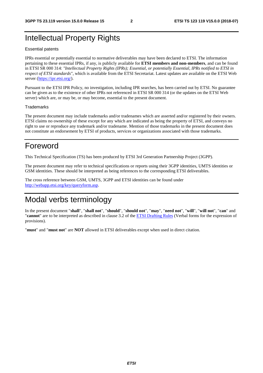# Intellectual Property Rights

#### Essential patents

IPRs essential or potentially essential to normative deliverables may have been declared to ETSI. The information pertaining to these essential IPRs, if any, is publicly available for **ETSI members and non-members**, and can be found in ETSI SR 000 314: *"Intellectual Property Rights (IPRs); Essential, or potentially Essential, IPRs notified to ETSI in respect of ETSI standards"*, which is available from the ETSI Secretariat. Latest updates are available on the ETSI Web server ([https://ipr.etsi.org/\)](https://ipr.etsi.org/).

Pursuant to the ETSI IPR Policy, no investigation, including IPR searches, has been carried out by ETSI. No guarantee can be given as to the existence of other IPRs not referenced in ETSI SR 000 314 (or the updates on the ETSI Web server) which are, or may be, or may become, essential to the present document.

#### **Trademarks**

The present document may include trademarks and/or tradenames which are asserted and/or registered by their owners. ETSI claims no ownership of these except for any which are indicated as being the property of ETSI, and conveys no right to use or reproduce any trademark and/or tradename. Mention of those trademarks in the present document does not constitute an endorsement by ETSI of products, services or organizations associated with those trademarks.

# Foreword

This Technical Specification (TS) has been produced by ETSI 3rd Generation Partnership Project (3GPP).

The present document may refer to technical specifications or reports using their 3GPP identities, UMTS identities or GSM identities. These should be interpreted as being references to the corresponding ETSI deliverables.

The cross reference between GSM, UMTS, 3GPP and ETSI identities can be found under [http://webapp.etsi.org/key/queryform.asp.](http://webapp.etsi.org/key/queryform.asp)

# Modal verbs terminology

In the present document "**shall**", "**shall not**", "**should**", "**should not**", "**may**", "**need not**", "**will**", "**will not**", "**can**" and "**cannot**" are to be interpreted as described in clause 3.2 of the [ETSI Drafting Rules](https://portal.etsi.org/Services/editHelp!/Howtostart/ETSIDraftingRules.aspx) (Verbal forms for the expression of provisions).

"**must**" and "**must not**" are **NOT** allowed in ETSI deliverables except when used in direct citation.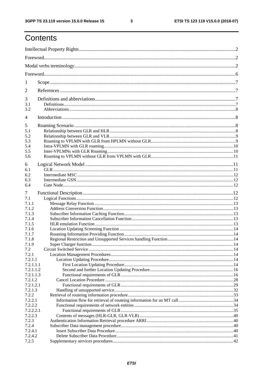$\mathbf{3}$ 

# Contents

| 1                                           |  |  |  |
|---------------------------------------------|--|--|--|
| $\overline{2}$                              |  |  |  |
| 3<br>3.1<br>3.2                             |  |  |  |
| $\overline{4}$                              |  |  |  |
| 5<br>5.1<br>5.2<br>5.3<br>5.4<br>5.5<br>5.6 |  |  |  |
| 6<br>6.1<br>6.2<br>6.3<br>6.4               |  |  |  |
| 7                                           |  |  |  |
| 7.1                                         |  |  |  |
| 7.1.1                                       |  |  |  |
| 7.1.2<br>7.1.3                              |  |  |  |
| 7.1.4                                       |  |  |  |
| 7.1.5                                       |  |  |  |
| 7.1.6                                       |  |  |  |
| 7.1.7                                       |  |  |  |
| 7.1.8                                       |  |  |  |
| 7.1.9                                       |  |  |  |
| 7.2                                         |  |  |  |
| 7.2.1                                       |  |  |  |
| 7.2.1.1                                     |  |  |  |
| 7.2.1.1.1                                   |  |  |  |
| 7.2.1.1.2                                   |  |  |  |
| 7.2.1.1.3                                   |  |  |  |
| 7.2.1.2                                     |  |  |  |
| 7.2.1.2.1                                   |  |  |  |
| 7.2.1.3                                     |  |  |  |
| 7.2.2                                       |  |  |  |
| 7.2.2.1                                     |  |  |  |
| 7.2.2.2                                     |  |  |  |
| 7.2.2.2.1                                   |  |  |  |
| 7.2.2.3                                     |  |  |  |
| 7.2.3                                       |  |  |  |
| 7.2.4                                       |  |  |  |
| 7.2.4.1                                     |  |  |  |
| 7.2.4.2                                     |  |  |  |
| 7.2.5                                       |  |  |  |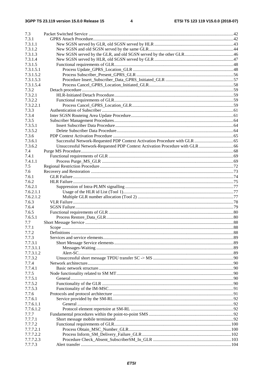| 7.3       |       |    |
|-----------|-------|----|
| 7.3.1     |       |    |
| 7.3.1.1   |       |    |
| 7.3.1.2   |       |    |
| 7.3.1.3   |       |    |
| 7.3.1.4   |       |    |
| 7.3.1.5   |       |    |
| 7.3.1.5.1 |       |    |
| 7.3.1.5.2 |       |    |
| 7.3.1.5.3 |       |    |
| 7.3.1.5.4 |       |    |
| 7.3.2     |       |    |
| 7.3.2.1   |       |    |
| 7.3.2.2   |       |    |
| 7.3.2.2.1 |       |    |
|           |       |    |
| 7.3.3     |       |    |
| 7.3.4     |       |    |
| 7.3.5     |       |    |
| 7.3.5.1   |       |    |
| 7.3.5.2   |       |    |
| 7.3.6     |       |    |
| 7.3.6.1   |       |    |
| 7.3.6.2   |       |    |
| 7.4       |       |    |
| 7.4.1     |       |    |
| 7.4.1.1   |       |    |
| 7.5       |       |    |
| 7.6       |       |    |
| 7.6.1     |       |    |
| 7.6.2     |       |    |
| 7.6.2.1   |       |    |
| 7.6.2.1.1 |       |    |
| 7.6.2.1.2 |       |    |
| 7.6.3     |       |    |
| 7.6.4     |       |    |
| 7.6.5     |       |    |
| 7.6.5.1   |       |    |
| 7.7       |       |    |
| 7.7.1     | Scope | 88 |
| 7.7.2     |       |    |
| 7.7.3     |       |    |
| 7.7.3.1   |       |    |
| 7.7.3.1.1 |       |    |
| 7.7.3.1.2 |       |    |
|           |       |    |
| 7.7.3.2   |       |    |
| 7.7.4     |       |    |
| 7.7.4.1   |       |    |
| 7.7.5     |       |    |
| 7.7.5.1   |       |    |
| 7.7.5.2   |       |    |
| 7.7.5.3   |       |    |
| 7.7.6     |       |    |
| 7.7.6.1   |       |    |
| 7.7.6.1.1 |       |    |
| 7.7.6.1.2 |       |    |
| 7.7.7     |       |    |
| 7.7.7.1   |       |    |
| 7.7.7.2   |       |    |
| 7.7.7.2.1 |       |    |
| 7.7.7.2.2 |       |    |
| 7.7.7.2.3 |       |    |
| 7.7.7.3   |       |    |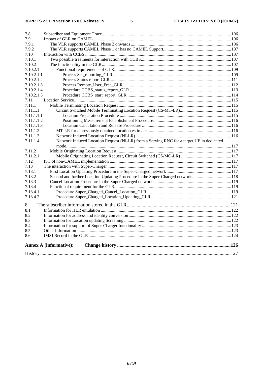| 7.8                                                                                                  |
|------------------------------------------------------------------------------------------------------|
| 7.9                                                                                                  |
| 7.9.1                                                                                                |
| 7.9.2                                                                                                |
| 7.10                                                                                                 |
| 7.10.1                                                                                               |
| 7.10.2                                                                                               |
| 7.10.2.1                                                                                             |
| 7.10.2.1.1                                                                                           |
| 7.10.2.1.2                                                                                           |
| 7.10.2.1.3                                                                                           |
| 7.10.2.1.4                                                                                           |
| 7.10.2.1.5                                                                                           |
| 7.11                                                                                                 |
| 7.11.1                                                                                               |
| 7.11.1.1                                                                                             |
| 7.11.1.1.1                                                                                           |
| 7.11.1.1.2                                                                                           |
| 7.11.1.1.3                                                                                           |
| 7.11.1.2                                                                                             |
| 7.11.1.3                                                                                             |
| Network Induced Location Request (NI-LR) from a Serving RNC for a target UE in dedicated<br>7.11.1.4 |
|                                                                                                      |
| 7.11.2                                                                                               |
| 7.11.2.1                                                                                             |
| 7.12                                                                                                 |
| 7.13                                                                                                 |
| 7.13.1                                                                                               |
| Second and further Location Updating Procedure in the Super-Charged networks118<br>7.13.2            |
| 7.13.3                                                                                               |
| 7.13.4                                                                                               |
| 7.13.4.1                                                                                             |
| 7.13.4.2                                                                                             |
|                                                                                                      |
| 8                                                                                                    |
| 8.1                                                                                                  |
| 8.2                                                                                                  |
| 8.3                                                                                                  |
| 8.4                                                                                                  |
| 8.5                                                                                                  |
| 8.6                                                                                                  |
|                                                                                                      |
| <b>Annex A (informative):</b>                                                                        |
|                                                                                                      |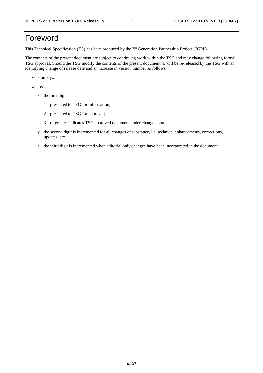# Foreword

This Technical Specification (TS) has been produced by the 3rd Generation Partnership Project (3GPP).

The contents of the present document are subject to continuing work within the TSG and may change following formal TSG approval. Should the TSG modify the contents of the present document, it will be re-released by the TSG with an identifying change of release date and an increase in version number as follows:

Version x.y.z

where:

- x the first digit:
	- 1 presented to TSG for information;
	- 2 presented to TSG for approval;
	- 3 or greater indicates TSG approved document under change control.
- y the second digit is incremented for all changes of substance, i.e. technical enhancements, corrections, updates, etc.
- z the third digit is incremented when editorial only changes have been incorporated in the document.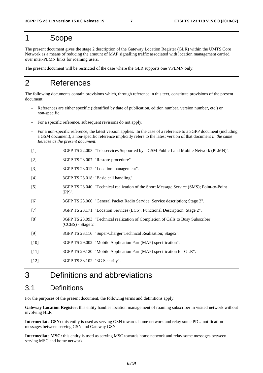# 1 Scope

The present document gives the stage 2 description of the Gateway Location Register (GLR) within the UMTS Core Network as a means of reducing the amount of MAP signalling traffic associated with location management carried over inter-PLMN links for roaming users.

The present document will be restricted of the case where the GLR supports one VPLMN only.

# 2 References

The following documents contain provisions which, through reference in this text, constitute provisions of the present document.

- References are either specific (identified by date of publication, edition number, version number, etc.) or non-specific.
- For a specific reference, subsequent revisions do not apply.
- For a non-specific reference, the latest version applies. In the case of a reference to a 3GPP document (including a GSM document), a non-specific reference implicitly refers to the latest version of that document *in the same Release as the present document*.
- [1] 3GPP TS 22.003: "Teleservices Supported by a GSM Public Land Mobile Network (PLMN)".
- [2] 3GPP TS 23.007: "Restore procedure".
- [3] 3GPP TS 23.012: "Location management".
- [4] 3GPP TS 23.018: "Basic call handling".
- [5] 3GPP TS 23.040: "Technical realization of the Short Message Service (SMS); Point-to-Point (PP)".
- [6] 3GPP TS 23.060: "General Packet Radio Service; Service description; Stage 2".
- [7] 3GPP TS 23.171: "Location Services (LCS); Functional Description; Stage 2".
- [8] 3GPP TS 23.093: "Technical realization of Completion of Calls to Busy Subscriber (CCBS) - Stage 2".
- [9] 3GPP TS 23.116: "Super-Charger Technical Realisation; Stage2".
- [10] 3GPP TS 29.002: "Mobile Application Part (MAP) specification".
- [11] 3GPP TS 29.120: "Mobile Application Part (MAP) specification for GLR".
- [12] 3GPP TS 33.102: "3G Security".

# 3 Definitions and abbreviations

## 3.1 Definitions

For the purposes of the present document, the following terms and definitions apply.

**Gateway Location Register:** this entity handles location management of roaming subscriber in visited network without involving HLR

**Intermediate GSN:** this entity is used as serving GSN towards home network and relay some PDU notification messages between serving GSN and Gateway GSN

**Intermediate MSC:** this entity is used as serving MSC towards home network and relay some messages between serving MSC and home network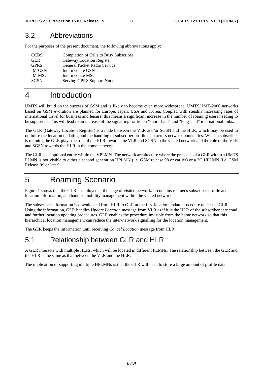## 3.2 Abbreviations

For the purposes of the present document, the following abbreviations apply:

| <b>CCBS</b>   | Completion of Calls to Busy Subscriber |
|---------------|----------------------------------------|
| <b>GLR</b>    | <b>Gateway Location Register</b>       |
| <b>GPRS</b>   | General Packet Radio Service           |
| <b>IM-GSN</b> | Intermediate GSN                       |
| <b>IM-MSC</b> | Intermediate MSC                       |
| <b>SGSN</b>   | Serving GPRS Support Node              |

# 4 Introduction

UMTS will build on the success of GSM and is likely to become even more widespread. UMTS/ IMT-2000 networks based on GSM evolution are planned for Europe, Japan, USA and Korea. Coupled with steadily increasing rates of international travel for business and leisure, this means a significant increase in the number of roaming users needing to be supported. This will lead to an increase of the signalling traffic on "short -haul" and "long-haul" international links.

The GLR (Gateway Location Register) is a node between the VLR and/or SGSN and the HLR, which may be used to optimise the location updating and the handling of subscriber profile data across network boundaries. When a subscriber is roaming the GLR plays the role of the HLR towards the VLR and SGSN in the visited network and the role of the VLR and SGSN towards the HLR in the home network.

The GLR is an optional entity within the VPLMN. The network architecture where the presence of a GLR within a UMTS PLMN is not visible to either a second generation HPLMN (i.e. GSM release 98 or earlier) or a 3G HPLMN (i.e. GSM Release 99 or later).

# 5 Roaming Scenario

Figure 1 shows that the GLR is deployed at the edge of visited network. It contains roamer's subscriber profile and location information, and handles mobility management within the visited network.

The subscriber information is downloaded from HLR to GLR at the first location update procedure under the GLR. Using the information, GLR handles *Update Location* message from VLR as if it is the HLR of the subscriber at second and further location updating procedures. GLR enables the procedure invisible from the home network so that this hierarchical location management can reduce the inter-network signalling for the location management.

The GLR keeps the information until receiving *Cancel Location* message from HLR.

# 5.1 Relationship between GLR and HLR

A GLR interacts with multiple HLRs, which will be located in different PLMNs. The relationship between the GLR and the HLR is the same as that between the VLR and the HLR.

The implication of supporting multiple HPLMNs is that the GLR will need to store a large amount of profile data.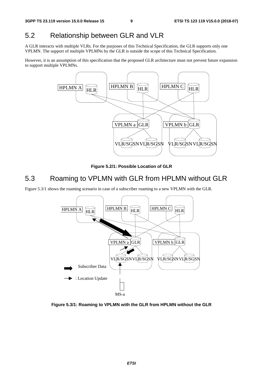# 5.2 Relationship between GLR and VLR

A GLR interacts with multiple VLRs. For the purposes of this Technical Specification, the GLR supports only one VPLMN. The support of multiple VPLMNs by the GLR is outside the scope of this Technical Specification.

However, it is an assumption of this specification that the proposed GLR architecture must not prevent future expansion to support multiple VPLMNs.



**Figure 5.2/1: Possible Location of GLR** 

# 5.3 Roaming to VPLMN with GLR from HPLMN without GLR

Figure 5.3/1 shows the roaming scenario in case of a subscriber roaming to a new VPLMN with the GLR.



**Figure 5.3/1: Roaming to VPLMN with the GLR from HPLMN without the GLR**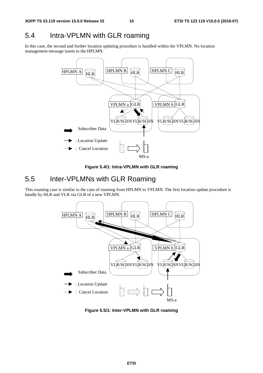# 5.4 Intra-VPLMN with GLR roaming

In this case, the second and further location updating procedure is handled within the VPLMN. No location management message issent to the HPLMN.



**Figure 5.4/1: Intra-VPLMN with GLR roaming** 

# 5.5 Inter-VPLMNs with GLR Roaming

This roaming case is similar to the case of roaming from HPLMN to VPLMN. The first location update procedure is handle by HLR and VLR via GLR of a new VPLMN.



**Figure 5.5/1: Inter-VPLMN with GLR roaming**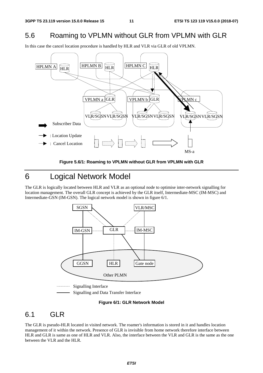# 5.6 Roaming to VPLMN without GLR from VPLMN with GLR

In this case the cancel location procedure is handled by HLR and VLR via GLR of old VPLMN.





# 6 Logical Network Model

The GLR is logically located between HLR and VLR as an optional node to optimise inter-network signalling for location management. The overall GLR concept is achieved by the GLR itself, Intermediate-MSC (IM-MSC) and Intermediate-GSN (IM-GSN). The logical network model is shown in figure 6/1.



Signalling and Data Transfer Interface

#### **Figure 6/1: GLR Network Model**

## 6.1 GLR

The GLR is pseudo-HLR located in visited network. The roamer's information is stored in it and handles location management of it within the network. Presence of GLR is invisible from home network therefore interface between HLR and GLR is same as one of HLR and VLR. Also, the interface between the VLR and GLR is the same as the one between the VLR and the HLR.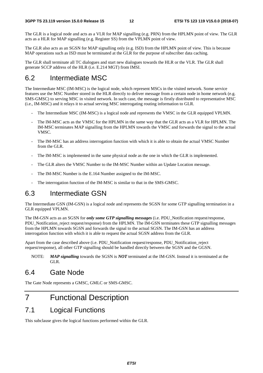The GLR is a logical node and acts as a VLR for MAP signalling (e.g. PRN) from the HPLMN point of view. The GLR acts as a HLR for MAP signalling (e.g. Register SS) from the VPLMN point of view.

The GLR also acts as an SGSN for MAP signalling only (e.g. ISD) from the HPLMN point of view. This is because MAP operations such as ISD must be terminated at the GLR for the purpose of subscriber data caching.

The GLR shall terminate all TC dialogues and start new dialogues towards the HLR or the VLR. The GLR shall generate SCCP address of the HLR (i.e. E.214 MGT) from IMSI.

# 6.2 Intermediate MSC

The Intermediate MSC (IM-MSC) is the logical node, which represent MSCs in the visited network. Some service features use the MSC Number stored in the HLR directly to deliver message from a certain node in home network (e.g. SMS-GMSC) to serving MSC in visited network. In such case, the message is firstly distributed to representative MSC (i.e., IM-MSC) and it relays it to actual serving MSC interrogating routing information to GLR.

- The Intermediate MSC (IM-MSC) is a logical node and represents the VMSC in the GLR equipped VPLMN.
- The IM-MSC acts as the VMSC for the HPLMN in the same way that the GLR acts as a VLR for HPLMN. The IM-MSC terminates MAP signalling from the HPLMN towards the VMSC and forwards the signal to the actual VMSC.
- The IM-MSC has an address interrogation function with which it is able to obtain the actual VMSC Number from the GLR.
- The IM-MSC is implemented in the same physical node as the one in which the GLR is implemented.
- The GLR alters the VMSC Number to the IM-MSC Number within an Update Location message.
- The IM-MSC Number is the E.164 Number assigned to the IM-MSC.
- The interrogation function of the IM-MSC is similar to that in the SMS-GMSC.

# 6.3 Intermediate GSN

The Intermediate GSN (IM-GSN) is a logical node and represents the SGSN for some GTP signalling termination in a GLR equipped VPLMN.

The IM-GSN acts as an SGSN for *only some GTP signalling messages* (i.e. PDU\_Notification request/response, PDU\_Notification\_reject request/response) from the HPLMN. The IM-GSN terminates these GTP signalling messages from the HPLMN towards SGSN and forwards the signal to the actual SGSN. The IM-GSN has an address interrogation function with which it is able to request the actual SGSN address from the GLR.

Apart from the case described above (i.e. PDU\_Notification request/response, PDU\_Notification\_reject request/response), all other GTP signalling should be handled directly between the SGSN and the GGSN.

NOTE: *MAP signalling* towards the SGSN is *NOT* terminated at the IM-GSN. Instead it is terminated at the GLR.

# 6.4 Gate Node

The Gate Node represents a GMSC, GMLC or SMS-GMSC.

# 7 Functional Description

# 7.1 Logical Functions

This subclause gives the logical functions performed within the GLR.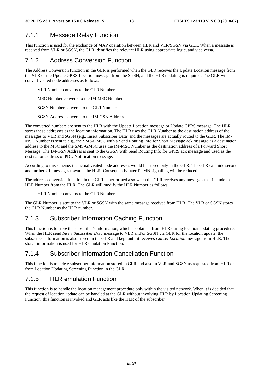## 7.1.1 Message Relay Function

This function is used for the exchange of MAP operation between HLR and VLR/SGSN via GLR. When a message is received from VLR or SGSN, the GLR identifies the relevant HLR using appropriate logic, and vice versa.

## 7.1.2 Address Conversion Function

The Address Conversion function in the GLR is performed when the GLR receives the Update Location message from the VLR or the Update GPRS Location message from the SGSN, and the HLR updating is required. The GLR will convert visited node addresses as follows:

- VLR Number converts to the GLR Number.
- MSC Number converts to the IM-MSC Number.
- SGSN Number converts to the GLR Number.
- SGSN Address converts to the IM-GSN Address.

The converted numbers are sent to the HLR with the Update Location message or Update GPRS message. The HLR stores these addresses as the location information. The HLR uses the GLR Number as the destination address of the messages to VLR and SGSN (e.g., Insert Subscriber Data) and the messages are actually routed to the GLR. The IM-MSC Number is sent to e.g., the SMS-GMSC with a Send Routing Info for Short Message ack message as a destination address to the MSC and the SMS-GMSC uses the IM-MSC Number as the destination address of a Forward Short Message. The IM-GSN Address is sent to the GGSN with Send Routing Info for GPRS ack message and used as the destination address of PDU Notification message.

According to this scheme, the actual visited node addresses would be stored only in the GLR. The GLR can hide second and further UL messages towards the HLR. Consequently inter-PLMN signalling will be reduced.

The address conversion function in the GLR is performed also when the GLR receives any messages that include the HLR Number from the HLR. The GLR will modify the HLR Number as follows.

HLR Number converts to the GLR Number.

The GLR Number is sent to the VLR or SGSN with the same message received from HLR. The VLR or SGSN stores the GLR Number as the HLR number.

## 7.1.3 Subscriber Information Caching Function

This function is to store the subscriber's information, which is obtained from HLR during location updating procedure. When the HLR send *Insert Subscriber Data* message to VLR and/or SGSN via GLR for the location update, the subscriber information is also stored in the GLR and kept until it receives *Cancel Location* message from HLR. The stored information is used for HLR emulation Function.

## 7.1.4 Subscriber Information Cancellation Function

This function is to delete subscriber information stored in GLR and also in VLR and SGSN as requested from HLR or from Location Updating Screening Function in the GLR.

## 7.1.5 HLR emulation Function

This function is to handle the location management procedure only within the visited network. When it is decided that the request of location update can be handled at the GLR without involving HLR by Location Updating Screening Function, this function is invoked and GLR acts like the HLR of the subscriber.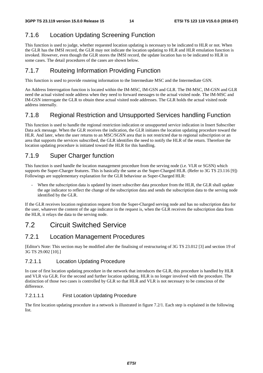# 7.1.6 Location Updating Screening Function

This function is used to judge, whether requested location updating is necessary to be indicated to HLR or not. When the GLR has the IMSI record, the GLR may not indicate the location updating to HLR and HLR emulation function is invoked. However, even though the GLR stores the IMSI record, the update location has to be indicated to HLR in some cases. The detail procedures of the cases are shown below.

## 7.1.7 Routeing Information Providing Function

This function is used to provide routeing information to the Intermediate MSC and the Intermediate GSN.

An Address Interrogation function is located within the IM-MSC, IM-GSN and GLR. The IM-MSC, IM-GSN and GLR need the actual visited node address when they need to forward messages to the actual visited node. The IM-MSC and IM-GSN interrogate the GLR to obtain these actual visited node addresses. The GLR holds the actual visited node address internally.

## 7.1.8 Regional Restriction and Unsupported Services handling Function

This function is used to handle the regional restriction indication or unsupported service indication in Insert Subscriber Data ack message. When the GLR receives the indication, the GLR initiates the location updating procedure toward the HLR. And later, when the user returns to an MSC/SGSN area that is not restricted due to regional subscription or an area that supports the services subscribed, the GLR identifies the need to notify the HLR of the return. Therefore the location updating procedure is initiated toward the HLR for this handling.

## 7.1.9 Super Charger function

This function is used handle the location management procedure from the serving node (i.e. VLR or SGSN) which supports the Super-Charger features. This is basically the same as the Super-Charged HLR. (Refer to 3G TS 23.116 [9]) Followings are supplementary explanation for the GLR behaviour as Super-Charged HLR:

When the subscription data is updated by insert subscriber data procedure from the HLR, the GLR shall update the age indicator to reflect the change of the subscription data and sends the subscription data to the serving node identified by the GLR.

If the GLR receives location registration request from the Super-Charged serving node and has no subscription data for the user, whatever the content of the age indicator in the request is, when the GLR receives the subscription data from the HLR, it relays the data to the serving node.

# 7.2 Circuit Switched Service

## 7.2.1 Location Management Procedures

[Editor's Note: This section may be modified after the finalising of restructuring of 3G TS 23.012 [3] and section 19 of 3G TS 29.002 [10].]

## 7.2.1.1 Location Updating Procedure

In case of first location updating procedure in the network that introduces the GLR, this procedure is handled by HLR and VLR via GLR. For the second and further location updating, HLR is no longer involved with the procedure. The distinction of those two cases is controlled by GLR so that HLR and VLR is not necessary to be conscious of the difference.

## 7.2.1.1.1 First Location Updating Procedure

The first location updating procedure in a network is illustrated in figure 7.2/1. Each step is explained in the following list.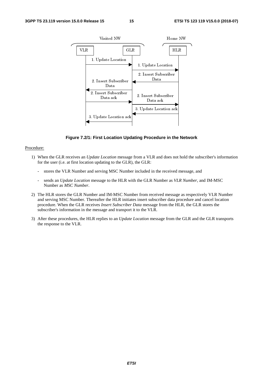

#### **Figure 7.2/1: First Location Updating Procedure in the Network**

#### Procedure:

- 1) When the GLR receives an *Update Location* message from a VLR and does not hold the subscriber's information for the user (i.e. at first location updating to the GLR), the GLR:
	- stores the VLR Number and serving MSC Number included in the received message, and
	- sends an *Update Location* message to the HLR with the GLR Number as *VLR Number*, and IM-MSC Number as *MSC Number*.
- 2) The HLR stores the GLR Number and IM-MSC Number from received message as respectively VLR Number and serving MSC Number. Thereafter the HLR initiates insert subscriber data procedure and cancel location procedure. When the GLR receives *Insert Subscriber Data* message from the HLR, the GLR stores the subscriber's information in the message and transport it to the VLR.
- 3) After these procedures, the HLR replies to an *Update Location* message from the GLR and the GLR transports the response to the VLR.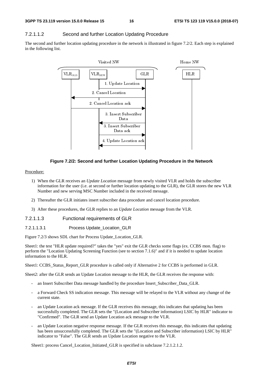### 7.2.1.1.2 Second and further Location Updating Procedure

The second and further location updating procedure in the network is illustrated in figure 7.2/2. Each step is explained in the following list.



#### **Figure 7.2/2: Second and further Location Updating Procedure in the Network**

#### Procedure:

- 1) When the GLR receives an *Update Location* message from newly visited VLR and holds the subscriber information for the user (i.e. at second or further location updating to the GLR), the GLR stores the new VLR Number and new serving MSC Number included in the received message.
- 2) Thereafter the GLR initiates insert subscriber data procedure and cancel location procedure.
- 3) After these procedures, the GLR replies to an *Update Location* message from the VLR.
- 7.2.1.1.3 Functional requirements of GLR
- 7.2.1.1.3.1 Process Update\_Location\_GLR

Figure 7.2/3 shows SDL chart for Process Update\_Location\_GLR.

Sheet1: the test "HLR update required?" takes the "yes" exit the GLR checks some flags (ex. CCBS mon. flag) to perform the "Location Updating Screening Function (see to section 7.1.6)" and if it is needed to update location information to the HLR.

Sheet1: CCBS\_Status\_Report\_GLR procedure is called only if Alternative 2 for CCBS is performed in GLR.

Sheet2: after the GLR sends an Update Location message to the HLR, the GLR receives the response with:

- an Insert Subscriber Data message handled by the procedure Insert\_Subscriber\_Data\_GLR.
- a Forward Check SS indication message. This message will be relayed to the VLR without any change of the current state.
- an Update Location ack message. If the GLR receives this message, this indicates that updating has been successfully completed. The GLR sets the "(Location and Subscriber information) LSIC by HLR" indicator to "Confirmed". The GLR send an Update Location ack message to the VLR.
- an Update Location negative response message. If the GLR receives this message, this indicates that updating has been unsuccessfully completed. The GLR sets the "(Location and Subscriber information) LSIC by HLR" indicator to "False". The GLR sends an Update Location negative to the VLR.

Sheet1: process Cancel Location Initiated GLR is specified in subclause 7.2.1.2.1.2.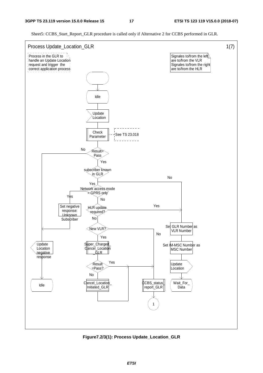Process in the GLR to handle an Update Location request and trigger the correct application process Process Update\_Location\_GLR 1(7) Signales to/from the left are to/from the VLR Signales to/from the right are to/from the HLR Idle Update Location **Check** Parameter  $\|$  -  $\frac{1}{1}$ See TS 23.018 Result= Pass subscriber known in GLR Network access mode  $\leq$ GPRS only Set negative response: Unknown Subscriber Update Location negative response Idle **HLR** update required?  $\widehat{\phantom{a}}$ New VLR Super\_Charged ancel\_Locati¢ \_GLR Result =Pass? Cancel\_Location Initiated GLR CCBS\_status\_ report\_GLR 1 Set GLR Number as VLR Number Set IM-MSC Number as **MSC Number** Update Location Wait\_For\_ Data Yes Yes Yes No No Yes No Yes No Yes No No

Sheet5: CCBS\_Start\_Report\_GLR procedure is called only if Alternative 2 for CCBS performed in GLR.

**Figure7.2/3(1): Process Update\_Location\_GLR**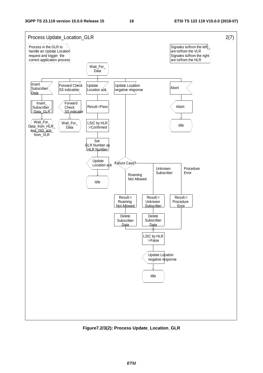

**Figure7.2/3(2): Process Update\_Location\_GLR**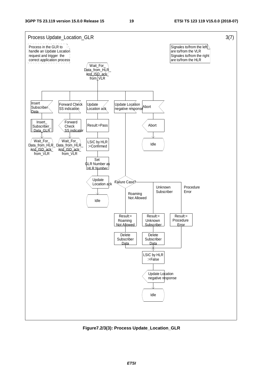

**Figure7.2/3(3): Process Update\_Location\_GLR** 

*ETSI*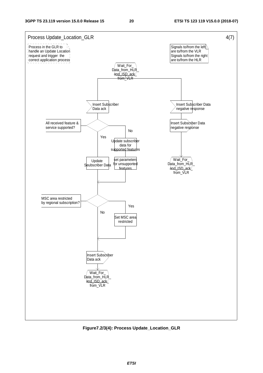

**Figure7.2/3(4): Process Update\_Location\_GLR**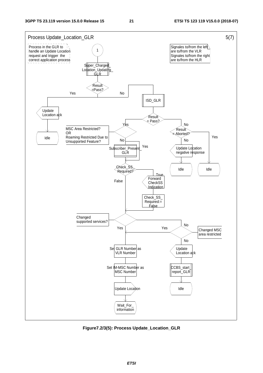

**Figure7.2/3(5): Process Update\_Location\_GLR**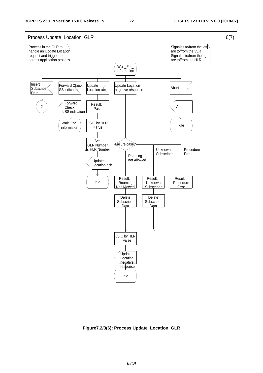

**Figure7.2/3(6): Process Update\_Location\_GLR**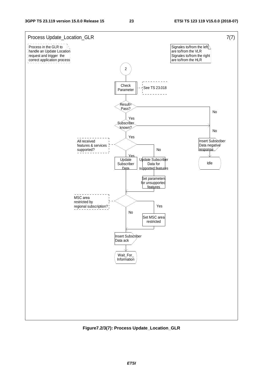

**Figure7.2/3(7): Process Update\_Location\_GLR**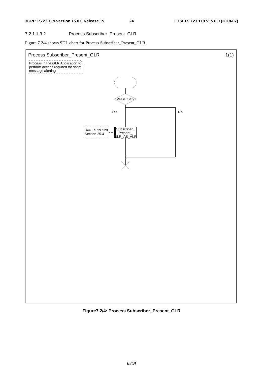### 7.2.1.1.3.2 Process Subscriber\_Present\_GLR

Figure 7.2/4 shows SDL chart for Process Subscriber\_Present\_GLR.



**Figure7.2/4: Process Subscriber\_Present\_GLR**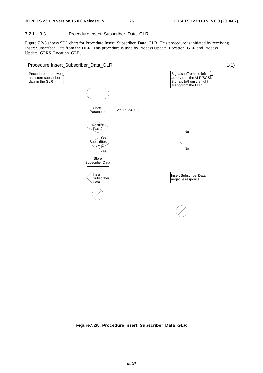### 7.2.1.1.3.3 Procedure Insert\_Subscriber\_Data\_GLR

Figure 7.2/5 shows SDL chart for Procedure Insert\_Subscriber\_Data\_GLR. This procedure is initiated by receiving Insert Subscriber Data from the HLR. This procedure is used by Process Update\_Location\_GLR and Process Update\_GPRS\_Location\_GLR.



**Figure7.2/5: Procedure Insert\_Subscriber\_Data\_GLR**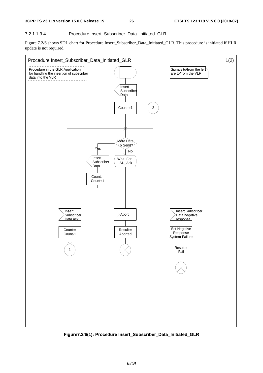### 7.2.1.1.3.4 Procedure Insert\_Subscriber\_Data\_Initiated\_GLR

Figure 7.2/6 shows SDL chart for Procedure Insert\_Subscriber\_Data\_Initiated\_GLR. This procedure is initiated if HLR update is not required.



**Figure7.2/6(1): Procedure Insert\_Subscriber\_Data\_Initiated\_GLR**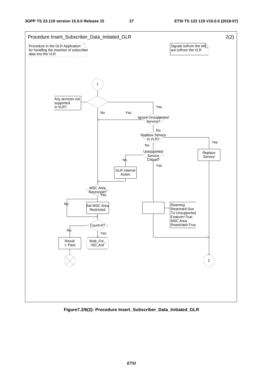

**Figure7.2/6(2): Procedure Insert\_Subscriber\_Data\_Initiated\_GLR**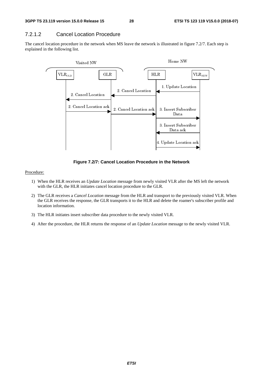## 7.2.1.2 Cancel Location Procedure

The cancel location procedure in the network when MS leave the network is illustrated in figure 7.2/7. Each step is explained in the following list.



**Figure 7.2/7: Cancel Location Procedure in the Network** 

#### Procedure:

- 1) When the HLR receives an *Update Location* message from newly visited VLR after the MS left the network with the GLR, the HLR initiates cancel location procedure to the GLR.
- 2) The GLR receives a *Cancel Location* message from the HLR and transport to the previously visited VLR. When the GLR receives the response, the GLR transports it to the HLR and delete the roamer's subscriber profile and location information.
- 3) The HLR initiates insert subscriber data procedure to the newly visited VLR.
- 4) After the procedure, the HLR returns the response of an *Update Location* message to the newly visited VLR.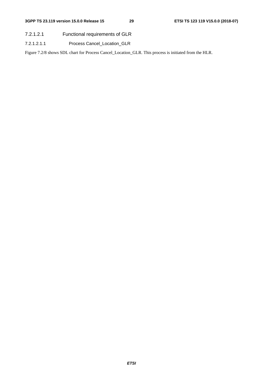- 7.2.1.2.1 Functional requirements of GLR
- 7.2.1.2.1.1 Process Cancel\_Location\_GLR

Figure 7.2/8 shows SDL chart for Process Cancel\_Location\_GLR. This process is initiated from the HLR.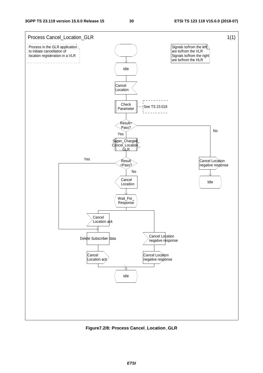

**Figure7.2/8: Process Cancel\_Location\_GLR**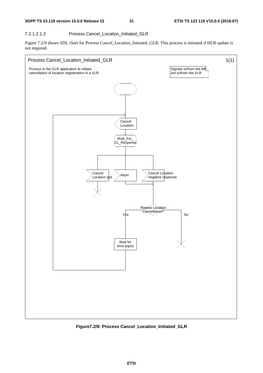### 7.2.1.2.1.2 Process Cancel\_Location\_Initiated\_GLR

Figure 7.2/9 shows SDL chart for Process Cancel\_Location\_Initiated\_GLR. This process is initiated if HLR update is not required.



**Figure7.2/9: Process Cancel\_Location\_Initiated\_GLR**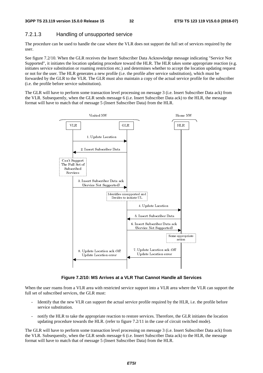## 7.2.1.3 Handling of unsupported service

The procedure can be used to handle the case where the VLR does not support the full set of services required by the user.

See figure 7.2/10. When the GLR receives the Insert Subscriber Data Acknowledge message indicating "Service Not Supported", it initiates the location updating procedure toward the HLR. The HLR takes some appropriate reaction (e.g. initiates service substitution or roaming restriction etc.) and determines whether to accept the location updating request or not for the user. The HLR generates a new profile (i.e. the profile after service substitution), which must be forwarded by the GLR to the VLR. The GLR must also maintain a copy of the actual service profile for the subscriber (i.e. the profile before service substitution).

The GLR will have to perform some transaction level processing on message 3 (i.e. Insert Subscriber Data ack) from the VLR. Subsequently, when the GLR sends message 6 (i.e. Insert Subscriber Data ack) to the HLR, the message format will have to match that of message 5 (Insert Subscriber Data) from the HLR.



**Figure 7.2/10: MS Arrives at a VLR That Cannot Handle all Services** 

When the user roams from a VLR area with restricted service support into a VLR area where the VLR can support the full set of subscribed services, the GLR must:

- Identify that the new VLR can support the actual service profile required by the HLR, i.e. the profile before service substitution.
- notify the HLR to take the appropriate reaction to restore services. Therefore, the GLR initiates the location updating procedure towards the HLR. (refer to figure 7.2/11 in the case of circuit switched mode).

The GLR will have to perform some transaction level processing on message 3 (i.e. Insert Subscriber Data ack) from the VLR. Subsequently, when the GLR sends message 6 (i.e. Insert Subscriber Data ack) to the HLR, the message format will have to match that of message 5 (Insert Subscriber Data) from the HLR.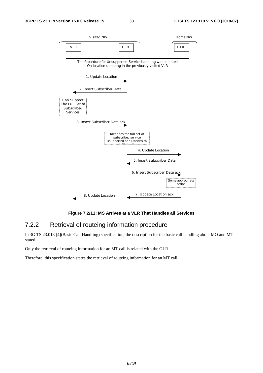

**Figure 7.2/11: MS Arrives at a VLR That Handles all Services** 

## 7.2.2 Retrieval of routeing information procedure

In 3G TS 23.018 [4](Basic Call Handling) specification, the description for the basic call handling about MO and MT is stated.

Only the retrieval of routeing information for an MT call is related with the GLR.

Therefore, this specification states the retrieval of routeing information for an MT call.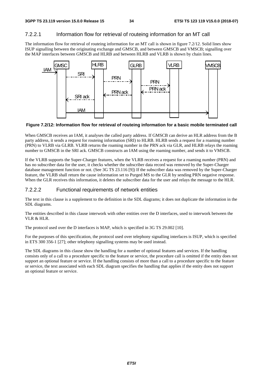## 7.2.2.1 Information flow for retrieval of routeing information for an MT call

The information flow for retrieval of routeing information for an MT call is shown in figure 7.2/12. Solid lines show ISUP signalling between the originating exchange and GMSCB, and between GMSCB and VMSCB; signalling over the MAP interfaces between GMSCB and HLRB and between HLRB and VLRB is shown by chain lines.



### **Figure 7.2/12: Information flow for retrieval of routeing information for a basic mobile terminated call**

When GMSCB receives an IAM, it analyses the called party address. If GMSCB can derive an HLR address from the B party address, it sends a request for routeing information (SRI) to HLRB. HLRB sends a request for a roaming number (PRN) to VLRB via GLRB. VLRB returns the roaming number in the PRN ack via GLR, and HLRB relays the roaming number to GMSCB in the SRI ack. GMSCB constructs an IAM using the roaming number, and sends it to VMSCB.

If the VLRB supports the Super-Charger features, when the VLRB receives a request for a roaming number (PRN) and has no subscriber data for the user, it checks whether the subscriber data record was removed by the Super-Charger database management function or not. (See 3G TS 23.116 [9]) If the subscriber data was removed by the Super-Charger feature, the VLRB shall return the cause information set to Purged MS to the GLR by sending PRN negative response. When the GLR receives this information, it deletes the subscriber data for the user and relays the message to the HLR.

## 7.2.2.2 Functional requirements of network entities

The text in this clause is a supplement to the definition in the SDL diagrams; it does not duplicate the information in the SDL diagrams.

The entities described in this clause interwork with other entities over the D interfaces, used to interwork between the VLR & HLR.

The protocol used over the D interfaces is MAP, which is specified in 3G TS 29.002 [10].

For the purposes of this specification, the protocol used over telephony signalling interfaces is ISUP, which is specified in ETS 300 356-1 [27]; other telephony signalling systems may be used instead.

The SDL diagrams in this clause show the handling for a number of optional features and services. If the handling consists only of a call to a procedure specific to the feature or service, the procedure call is omitted if the entity does not support an optional feature or service. If the handling consists of more than a call to a procedure specific to the feature or service, the text associated with each SDL diagram specifies the handling that applies if the entity does not support an optional feature or service.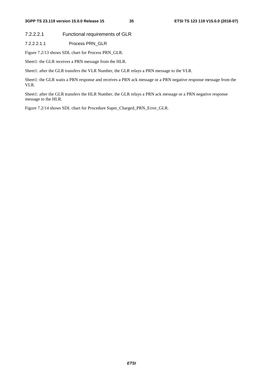7.2.2.2.1 Functional requirements of GLR

7.2.2.2.1.1 Process PRN\_GLR

Figure 7.2/13 shows SDL chart for Process PRN\_GLR.

Sheet1: the GLR receives a PRN message from the HLR.

Sheet1: after the GLR transfers the VLR Number, the GLR relays a PRN message to the VLR.

Sheet1: the GLR waits a PRN response and receives a PRN ack message or a PRN negative response message from the VLR.

Sheet1: after the GLR transfers the HLR Number, the GLR relays a PRN ack message or a PRN negative response message to the HLR.

Figure 7.2/14 shows SDL chart for Procedure Super\_Charged\_PRN\_Error\_GLR.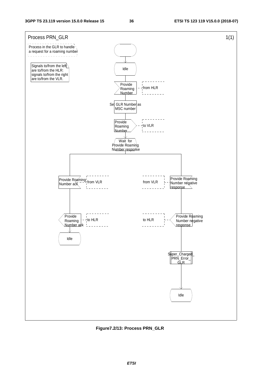

**Figure7.2/13: Process PRN\_GLR**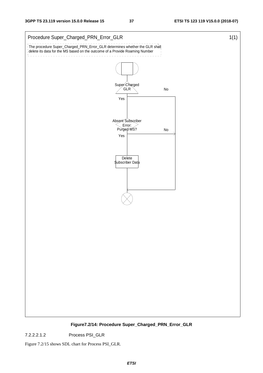

**Figure7.2/14: Procedure Super\_Charged\_PRN\_Error\_GLR** 

7.2.2.2.1.2 Process PSI\_GLR

Figure 7.2/15 shows SDL chart for Process PSI\_GLR.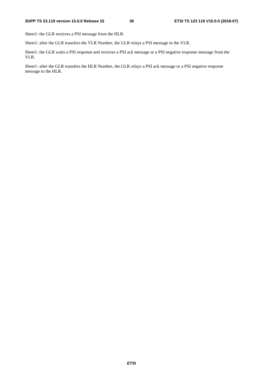Sheet1: the GLR receives a PSI message from the HLR.

Sheet1: after the GLR transfers the VLR Number, the GLR relays a PSI message to the VLR.

Sheet1: the GLR waits a PSI response and receives a PSI ack message or a PSI negative response message from the VLR.

Sheet1: after the GLR transfers the HLR Number, the GLR relays a PSI ack message or a PSI negative response message to the HLR.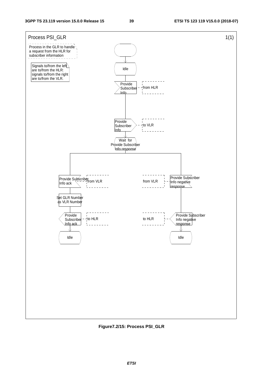

**Figure7.2/15: Process PSI\_GLR**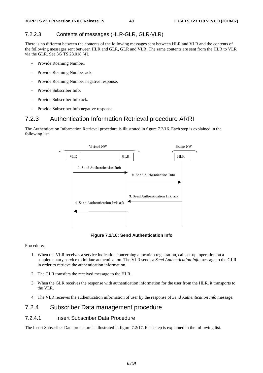## 7.2.2.3 Contents of messages (HLR-GLR, GLR-VLR)

There is no different between the contents of the following messages sent between HLR and VLR and the contents of the following messages sent between HLR and GLR, GLR and VLR. The same contents are sent from the HLR to VLR via the GLR. See 3G TS 23.018 [4].

- Provide Roaming Number.
- Provide Roaming Number ack.
- Provide Roaming Number negative response.
- Provide Subscriber Info.
- Provide Subscriber Info ack.
- Provide Subscriber Info negative response.

# 7.2.3 Authentication Information Retrieval procedure ARRI

The Authentication Information Retrieval procedure is illustrated in figure 7.2/16. Each step is explained in the following list.



**Figure 7.2/16: Send Authentication Info** 

#### Procedure:

- 1. When the VLR receives a service indication concerning a location registration, call set-up, operation on a supplementary service to initiate authentication. The VLR sends a *Send Authentication Info* message to the GLR in order to retrieve the authentication information.
- 2. The GLR transfers the received message to the HLR.
- 3. When the GLR receives the response with authentication information for the user from the HLR, it transports to the VLR.
- 4. The VLR receives the authentication information of user by the response of *Send Authentication Info* message.

## 7.2.4 Subscriber Data management procedure

## 7.2.4.1 Insert Subscriber Data Procedure

The Insert Subscriber Data procedure is illustrated in figure 7.2/17. Each step is explained in the following list.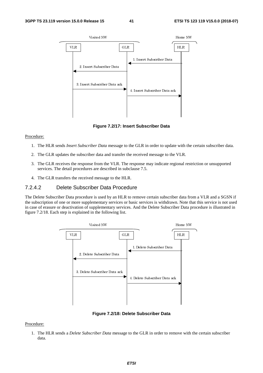

**Figure 7.2/17: Insert Subscriber Data** 

#### Procedure:

- 1. The HLR sends *Insert Subscriber Data* message to the GLR in order to update with the certain subscriber data.
- 2. The GLR updates the subscriber data and transfer the received message to the VLR.
- 3. The GLR receives the response from the VLR. The response may indicate regional restriction or unsupported services. The detail procedures are described in subclause 7.5.
- 4. The GLR transfers the received message to the HLR.

#### 7.2.4.2 Delete Subscriber Data Procedure

The Delete Subscriber Data procedure is used by an HLR to remove certain subscriber data from a VLR and a SGSN if the subscription of one or more supplementary services or basic services is withdrawn. Note that this service is not used in case of erasure or deactivation of supplementary services. And the Delete Subscriber Data procedure is illustrated in figure 7.2/18. Each step is explained in the following list.



**Figure 7.2/18: Delete Subscriber Data** 

#### Procedure:

1. The HLR sends a *Delete Subscriber Data* message to the GLR in order to remove with the certain subscriber data.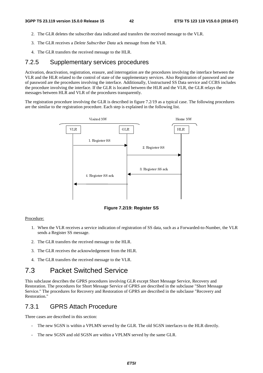- 2. The GLR deletes the subscriber data indicated and transfers the received message to the VLR.
- 3. The GLR receives a *Delete Subscriber Data* ack message from the VLR.
- 4. The GLR transfers the received message to the HLR.

## 7.2.5 Supplementary services procedures

Activation, deactivation, registration, erasure, and interrogation are the procedures involving the interface between the VLR and the HLR related to the control of state of the supplementary services. Also Registration of password and use of password are the procedures involving the interface. Additionally, Unstructured SS Data service and CCBS includes the procedure involving the interface. If the GLR is located between the HLR and the VLR, the GLR relays the messages between HLR and VLR of the procedures transparently.

The registration procedure involving the GLR is described in figure 7.2/19 as a typical case. The following procedures are the similar to the registration procedure. Each step is explained in the following list.



**Figure 7.2/19: Register SS** 

#### Procedure:

- 1. When the VLR receives a service indication of registration of SS data, such as a Forwarded-to-Number, the VLR sends a Register SS message.
- 2. The GLR transfers the received message to the HLR.
- 3. The GLR receives the acknowledgement from the HLR.
- 4. The GLR transfers the received message to the VLR.

# 7.3 Packet Switched Service

This subclause describes the GPRS procedures involving GLR except Short Message Service, Recovery and Restoration. The procedures for Short Message Service of GPRS are described in the subclause "Short Message Service." The procedures for Recovery and Restoration of GPRS are described in the subclause "Recovery and Restoration."

## 7.3.1 GPRS Attach Procedure

Three cases are described in this section:

- The new SGSN is within a VPLMN served by the GLR. The old SGSN interfaces to the HLR directly.
- The new SGSN and old SGSN are within a VPLMN served by the same GLR.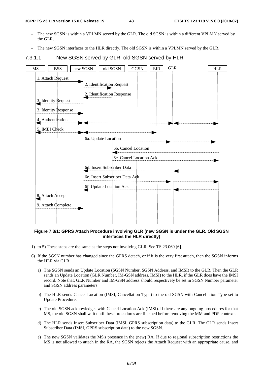- The new SGSN is within a VPLMN served by the GLR. The old SGSN is within a different VPLMN served by the GLR.
- The new SGSN interfaces to the HLR directly. The old SGSN is within a VPLMN served by the GLR.

### 7.3.1.1 New SGSN served by GLR, old SGSN served by HLR



**Figure 7.3/1: GPRS Attach Procedure involving GLR (new SGSN is under the GLR. Old SGSN interfaces the HLR directly)** 

- 1) to 5) These steps are the same as the steps not involving GLR. See TS 23.060 [6].
- 6) If the SGSN number has changed since the GPRS detach, or if it is the very first attach, then the SGSN informs the HLR via GLR:
	- a) The SGSN sends an Update Location (SGSN Number, SGSN Address, and IMSI) to the GLR. Then the GLR sends an Update Location (GLR Number, IM-GSN address, IMSI) to the HLR, if the GLR does have the IMSI record. Note that, GLR Number and IM-GSN address should respectively be set in SGSN Number parameter and SGSN address parameters.
	- b) The HLR sends Cancel Location (IMSI, Cancellation Type) to the old SGSN with Cancellation Type set to Update Procedure.
	- c) The old SGSN acknowledges with Cancel Location Ack (IMSI). If there are any ongoing procedures for that MS, the old SGSN shall wait until these procedures are finished before removing the MM and PDP contexts.
	- d) The HLR sends Insert Subscriber Data (IMSI, GPRS subscription data) to the GLR. The GLR sends Insert Subscriber Data (IMSI, GPRS subscription data) to the new SGSN.
	- e) The new SGSN validates the MS's presence in the (new) RA. If due to regional subscription restrictions the MS is not allowed to attach in the RA, the SGSN rejects the Attach Request with an appropriate cause, and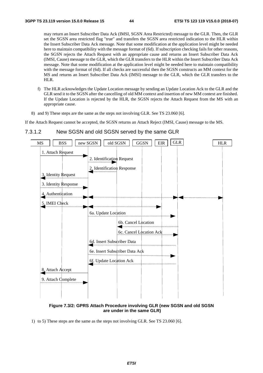may return an Insert Subscriber Data Ack (IMSI, SGSN Area Restricted) message to the GLR. Then, the GLR set the SGSN area restricted flag "true" and transfers the SGSN area restricted indication to the HLR within the Insert Subscriber Data Ack message. Note that some modification at the application level might be needed here to maintain compatibility with the message format of (6d). If subscription checking fails for other reasons, the SGSN rejects the Attach Request with an appropriate cause and returns an Insert Subscriber Data Ack (IMSI, Cause) message to the GLR, which the GLR transfers to the HLR within the Insert Subscriber Data Ack message. Note that some modification at the application level might be needed here to maintain compatibility with the message format of (6d). If all checks are successful then the SGSN constructs an MM context for the MS and returns an Insert Subscriber Data Ack (IMSI) message to the GLR, which the GLR transfers to the HLR.

- f) The HLR acknowledges the Update Location message by sending an Update Location Ack to the GLR and the GLR send it to the SGSN after the cancelling of old MM context and insertion of new MM context are finished. If the Update Location is rejected by the HLR, the SGSN rejects the Attach Request from the MS with an appropriate cause.
- 8) and 9) These steps are the same as the steps not involving GLR. See TS 23.060 [6].

If the Attach Request cannot be accepted, the SGSN returns an Attach Reject (IMSI, Cause) message to the MS.



#### 7.3.1.2 New SGSN and old SGSN served by the same GLR

**Figure 7.3/2: GPRS Attach Procedure involving GLR (new SGSN and old SGSN are under in the same GLR)** 

1) to 5) These steps are the same as the steps not involving GLR. See TS 23.060 [6].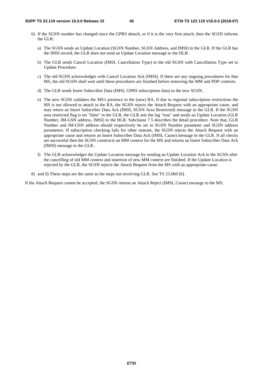- 6) If the SGSN number has changed since the GPRS detach, or if it is the very first attach, then the SGSN informs the GLR:
	- a) The SGSN sends an Update Location (SGSN Number, SGSN Address, and IMSI) to the GLR. If the GLR has the IMSI record, the GLR does not send an Update Location message to the HLR.
	- b) The GLR sends Cancel Location (IMSI, Cancellation Type) to the old SGSN with Cancellation Type set to Update Procedure.
	- c) The old SGSN acknowledges with Cancel Location Ack (IMSI). If there are any ongoing procedures for that MS, the old SGSN shall wait until these procedures are finished before removing the MM and PDP contexts.
	- d) The GLR sends Insert Subscriber Data (IMSI, GPRS subscription data) to the new SGSN.
	- e) The new SGSN validates the MS's presence in the (new) RA. If due to regional subscription restrictions the MS is not allowed to attach in the RA, the SGSN rejects the Attach Request with an appropriate cause, and may return an Insert Subscriber Data Ack (IMSI, SGSN Area Restricted) message to the GLR. If the SGSN area restricted flag is set "false" in the GLR, the GLR sets the lag "true" and sends an Update Location (GLR Number, IM-GSN address, IMSI) to the HLR. Subclause 7.5 describes the detail procedure. Note that, GLR Number and IM-GSN address should respectively be set in SGSN Number parameter and SGSN address parameters. If subscription checking fails for other reasons, the SGSN rejects the Attach Request with an appropriate cause and returns an Insert Subscriber Data Ack (IMSI, Cause) message to the GLR. If all checks are successful then the SGSN constructs an MM context for the MS and returns an Insert Subscriber Data Ack (IMSI) message to the GLR.
	- f) The GLR acknowledges the Update Location message by sending an Update Location Ack to the SGSN after the cancelling of old MM context and insertion of new MM context are finished. If the Update Location is rejected by the GLR, the SGSN rejects the Attach Request from the MS with an appropriate cause.
- 8) and 9) These steps are the same as the steps not involving GLR. See TS 23.060 [6].

If the Attach Request cannot be accepted, the SGSN returns an Attach Reject (IMSI, Cause) message to the MS.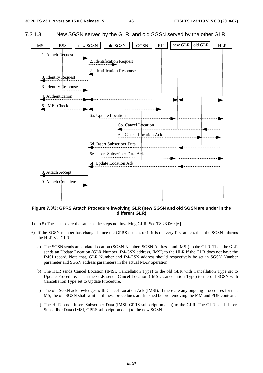



**Figure 7.3/3: GPRS Attach Procedure involving GLR (new SGSN and old SGSN are under in the different GLR)** 

- 1) to 5) These steps are the same as the steps not involving GLR. See TS 23.060 [6].
- 6) If the SGSN number has changed since the GPRS detach, or if it is the very first attach, then the SGSN informs the HLR via GLR:
	- a) The SGSN sends an Update Location (SGSN Number, SGSN Address, and IMSI) to the GLR. Then the GLR sends an Update Location (GLR Number, IM-GSN address, IMSI) to the HLR if the GLR does not have the IMSI record. Note that, GLR Number and IM-GSN address should respectively be set in SGSN Number parameter and SGSN address parameters in the actual MAP operation.
	- b) The HLR sends Cancel Location (IMSI, Cancellation Type) to the old GLR with Cancellation Type set to Update Procedure. Then the GLR sends Cancel Location (IMSI, Cancellation Type) to the old SGSN with Cancellation Type set to Update Procedure.
	- c) The old SGSN acknowledges with Cancel Location Ack (IMSI). If there are any ongoing procedures for that MS, the old SGSN shall wait until these procedures are finished before removing the MM and PDP contexts.
	- d) The HLR sends Insert Subscriber Data (IMSI, GPRS subscription data) to the GLR. The GLR sends Insert Subscriber Data (IMSI, GPRS subscription data) to the new SGSN.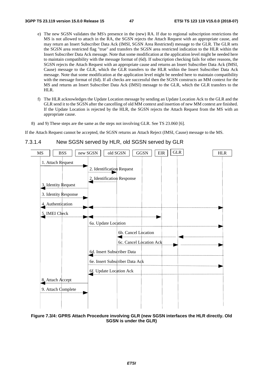- e) The new SGSN validates the MS's presence in the (new) RA. If due to regional subscription restrictions the MS is not allowed to attach in the RA, the SGSN rejects the Attach Request with an appropriate cause, and may return an Insert Subscriber Data Ack (IMSI, SGSN Area Restricted) message to the GLR. The GLR sets the SGSN area restricted flag "true" and transfers the SGSN area restricted indication to the HLR within the Insert Subscriber Data Ack message. Note that some modification at the application level might be needed here to maintain compatibility with the message format of (6d). If subscription checking fails for other reasons, the SGSN rejects the Attach Request with an appropriate cause and returns an Insert Subscriber Data Ack (IMSI, Cause) message to the GLR, which the GLR transfers to the HLR within the Insert Subscriber Data Ack message. Note that some modification at the application level might be needed here to maintain compatibility with the message format of (6d). If all checks are successful then the SGSN constructs an MM context for the MS and returns an Insert Subscriber Data Ack (IMSI) message to the GLR, which the GLR transfers to the HLR.
- f) The HLR acknowledges the Update Location message by sending an Update Location Ack to the GLR and the GLR send it to the SGSN after the cancelling of old MM context and insertion of new MM context are finished. If the Update Location is rejected by the HLR, the SGSN rejects the Attach Request from the MS with an appropriate cause.
- 8) and 9) These steps are the same as the steps not involving GLR. See TS 23.060 [6].

If the Attach Request cannot be accepted, the SGSN returns an Attach Reject (IMSI, Cause) message to the MS.



### 7.3.1.4 New SGSN served by HLR, old SGSN served by GLR

**Figure 7.3/4: GPRS Attach Procedure involving GLR (new SGSN interfaces the HLR directly. Old SGSN is under the GLR)**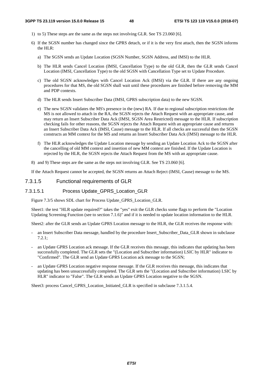- 1) to 5) These steps are the same as the steps not involving GLR. See TS 23.060 [6].
- 6) If the SGSN number has changed since the GPRS detach, or if it is the very first attach, then the SGSN informs the HLR:
	- a) The SGSN sends an Update Location (SGSN Number, SGSN Address, and IMSI) to the HLR.
	- b) The HLR sends Cancel Location (IMSI, Cancellation Type) to the old GLR, then the GLR sends Cancel Location (IMSI, Cancellation Type) to the old SGSN with Cancellation Type set to Update Procedure.
	- c) The old SGSN acknowledges with Cancel Location Ack (IMSI) via the GLR. If there are any ongoing procedures for that MS, the old SGSN shall wait until these procedures are finished before removing the MM and PDP contexts.
	- d) The HLR sends Insert Subscriber Data (IMSI, GPRS subscription data) to the new SGSN.
	- e) The new SGSN validates the MS's presence in the (new) RA. If due to regional subscription restrictions the MS is not allowed to attach in the RA, the SGSN rejects the Attach Request with an appropriate cause, and may return an Insert Subscriber Data Ack (IMSI, SGSN Area Restricted) message to the HLR. If subscription checking fails for other reasons, the SGSN rejects the Attach Request with an appropriate cause and returns an Insert Subscriber Data Ack (IMSI, Cause) message to the HLR. If all checks are successful then the SGSN constructs an MM context for the MS and returns an Insert Subscriber Data Ack (IMSI) message to the HLR.
	- f) The HLR acknowledges the Update Location message by sending an Update Location Ack to the SGSN after the cancelling of old MM context and insertion of new MM context are finished. If the Update Location is rejected by the HLR, the SGSN rejects the Attach Request from the MS with an appropriate cause.
- 8) and 9) These steps are the same as the steps not involving GLR. See TS 23.060 [6].

If the Attach Request cannot be accepted, the SGSN returns an Attach Reject (IMSI, Cause) message to the MS.

#### 7.3.1.5 Functional requirements of GLR

#### 7.3.1.5.1 Process Update\_GPRS\_Location\_GLR

Figure 7.3/5 shows SDL chart for Process Update\_GPRS\_Location\_GLR.

Sheet1: the test "HLR update required?" takes the "yes" exit the GLR checks some flags to perform the "Location Updating Screening Function (see to section 7.1.6)" and if it is needed to update location information to the HLR.

Sheet2: after the GLR sends an Update GPRS Location message to the HLR, the GLR receives the response with:

- an Insert Subscriber Data message, handled by the procedure Insert\_Subscriber\_Data\_GLR shown in subclause 7.2.1;
- an Update GPRS Location ack message. If the GLR receives this message, this indicates that updating has been successfully completed. The GLR sets the "(Location and Subscriber information) LSIC by HLR" indicator to "Confirmed". The GLR send an Update GPRS Location ack message to the SGSN;
- an Update GPRS Location negative response message. If the GLR receives this message, this indicates that updating has been unsuccessfully completed. The GLR sets the "(Location and Subscriber information) LSIC by HLR" indicator to "False". The GLR sends an Update GPRS Location negative to the SGSN.

Sheet3: process Cancel\_GPRS\_Location\_Initiated\_GLR is specified in subclause 7.3.1.5.4.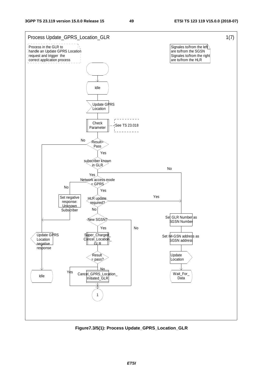

**Figure7.3/5(1): Process Update\_GPRS\_Location\_GLR**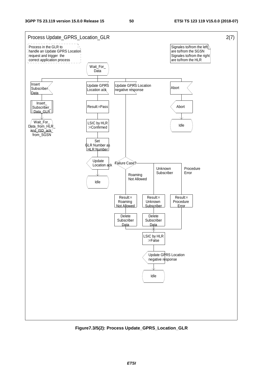

**Figure7.3/5(2): Process Update\_GPRS\_Location\_GLR**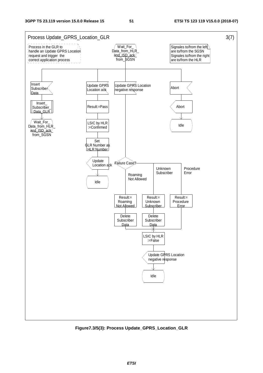

**Figure7.3/5(3): Process Update\_GPRS\_Location\_GLR**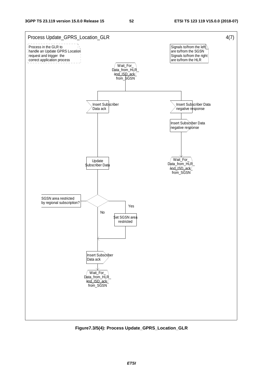

**Figure7.3/5(4): Process Update\_GPRS\_Location\_GLR**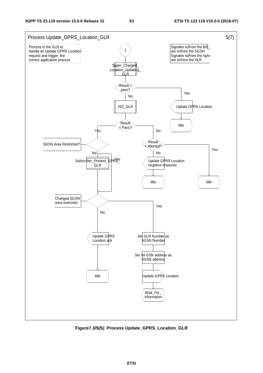

**Figure7.3/5(5): Process Update\_GPRS\_Location\_GLR**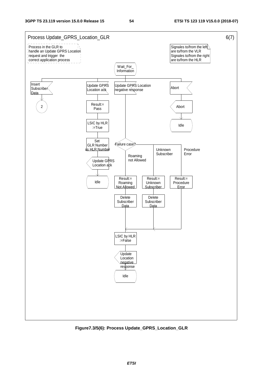

**Figure7.3/5(6): Process Update\_GPRS\_Location\_GLR**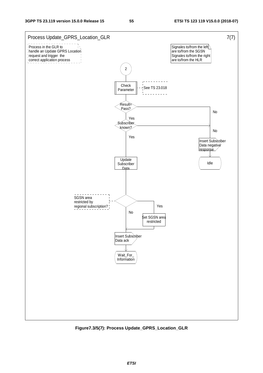

**Figure7.3/5(7): Process Update\_GPRS\_Location\_GLR**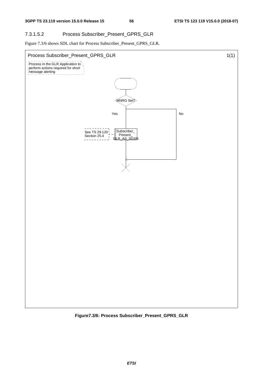## 7.3.1.5.2 Process Subscriber\_Present\_GPRS\_GLR

Figure 7.3/6 shows SDL chart for Process Subscriber\_Present\_GPRS\_GLR.



**Figure7.3/6: Process Subscriber\_Present\_GPRS\_GLR**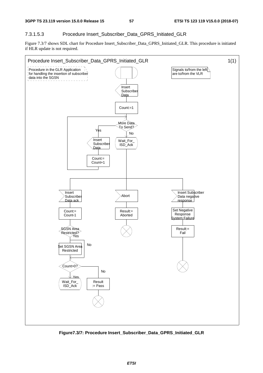### 7.3.1.5.3 Procedure Insert\_Subscriber\_Data\_GPRS\_Initiated\_GLR

Figure 7.3/7 shows SDL chart for Procedure Insert\_Subscriber\_Data\_GPRS\_Initiated\_GLR. This procedure is initiated if HLR update is not required.



**Figure7.3/7: Procedure Insert\_Subscriber\_Data\_GPRS\_Initiated\_GLR**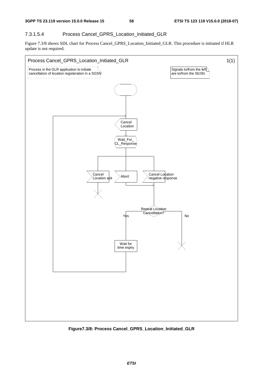## 7.3.1.5.4 Process Cancel\_GPRS\_Location\_Initiated\_GLR

Figure 7.3/8 shows SDL chart for Process Cancel\_GPRS\_Location\_Initiated\_GLR. This procedure is initiated if HLR update is not required.



**Figure7.3/8: Process Cancel\_GPRS\_Location\_Initiated\_GLR**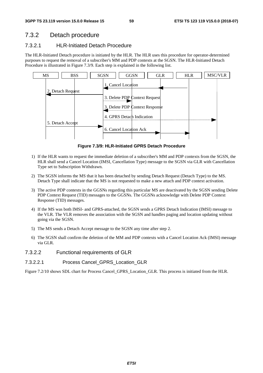# 7.3.2 Detach procedure

## 7.3.2.1 HLR-Initiated Detach Procedure

The HLR-Initiated Detach procedure is initiated by the HLR. The HLR uses this procedure for operator-determined purposes to request the removal of a subscriber's MM and PDP contexts at the SGSN. The HLR-Initiated Detach Procedure is illustrated in Figure 7.3/9. Each step is explained in the following list.



**Figure 7.3/9: HLR-Initiated GPRS Detach Procedure** 

- 1) If the HLR wants to request the immediate deletion of a subscriber's MM and PDP contexts from the SGSN, the HLR shall send a Cancel Location (IMSI, Cancellation Type) message to the SGSN via GLR with Cancellation Type set to Subscription Withdrawn.
- 2) The SGSN informs the MS that it has been detached by sending Detach Request (Detach Type) to the MS. Detach Type shall indicate that the MS is not requested to make a new attach and PDP context activation.
- 3) The active PDP contexts in the GGSNs regarding this particular MS are deactivated by the SGSN sending Delete PDP Context Request (TID) messages to the GGSNs. The GGSNs acknowledge with Delete PDP Context Response (TID) messages.
- 4) If the MS was both IMSI- and GPRS-attached, the SGSN sends a GPRS Detach Indication (IMSI) message to the VLR. The VLR removes the association with the SGSN and handles paging and location updating without going via the SGSN.
- 5) The MS sends a Detach Accept message to the SGSN any time after step 2.
- 6) The SGSN shall confirm the deletion of the MM and PDP contexts with a Cancel Location Ack (IMSI) message via GLR.
- 7.3.2.2 Functional requirements of GLR
- 7.3.2.2.1 Process Cancel\_GPRS\_Location\_GLR

Figure 7.2/10 shows SDL chart for Process Cancel\_GPRS\_Location\_GLR. This process is initiated from the HLR.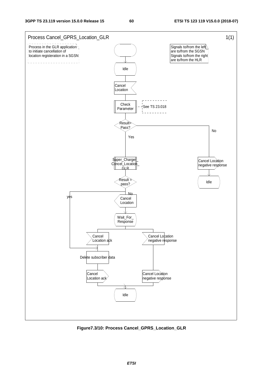

**Figure7.3/10: Process Cancel\_GPRS\_Location\_GLR**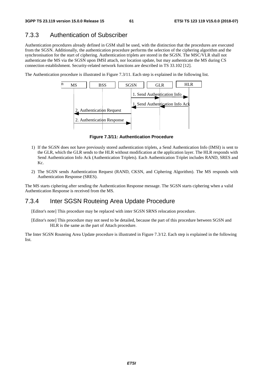# 7.3.3 Authentication of Subscriber

Authentication procedures already defined in GSM shall be used, with the distinction that the procedures are executed from the SGSN. Additionally, the authentication procedure performs the selection of the ciphering algorithm and the synchronisation for the start of ciphering. Authentication triplets are stored in the SGSN. The MSC/VLR shall not authenticate the MS via the SGSN upon IMSI attach, nor location update, but may authenticate the MS during CS connection establishment. Security-related network functions are described in TS 33.102 [12].

The Authentication procedure is illustrated in Figure 7.3/11. Each step is explained in the following list.



**Figure 7.3/11: Authentication Procedure** 

- 1) If the SGSN does not have previously stored authentication triplets, a Send Authentication Info (IMSI) is sent to the GLR, which the GLR sends to the HLR without modification at the application layer. The HLR responds with Send Authentication Info Ack (Authentication Triplets). Each Authentication Triplet includes RAND, SRES and Kc.
- 2) The SGSN sends Authentication Request (RAND, CKSN, and Ciphering Algorithm). The MS responds with Authentication Response (SRES).

The MS starts ciphering after sending the Authentication Response message. The SGSN starts ciphering when a valid Authentication Response is received from the MS.

## 7.3.4 Inter SGSN Routeing Area Update Procedure

[Editor's note] This procedure may be replaced with inter SGSN SRNS relocation procedure.

[Editor's note] This procedure may not need to be detailed, because the part of this procedure between SGSN and HLR is the same as the part of Attach procedure.

The Inter SGSN Routeing Area Update procedure is illustrated in Figure 7.3/12. Each step is explained in the following list.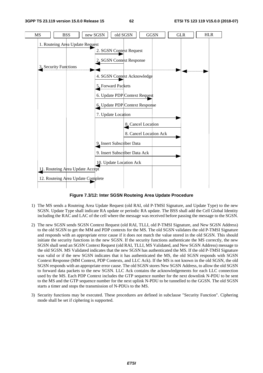

**Figure 7.3/12: Inter SGSN Routeing Area Update Procedure** 

- 1) The MS sends a Routeing Area Update Request (old RAI, old P-TMSI Signature, and Update Type) to the new SGSN. Update Type shall indicate RA update or periodic RA update. The BSS shall add the Cell Global Identity including the RAC and LAC of the cell where the message was received before passing the message to the SGSN.
- 2) The new SGSN sends SGSN Context Request (old RAI, TLLI, old P-TMSI Signature, and New SGSN Address) to the old SGSN to get the MM and PDP contexts for the MS. The old SGSN validates the old P-TMSI Signature and responds with an appropriate error cause if it does not match the value stored in the old SGSN. This should initiate the security functions in the new SGSN. If the security functions authenticate the MS correctly, the new SGSN shall send an SGSN Context Request (old RAI, TLLI, MS Validated, and New SGSN Address) message to the old SGSN. MS Validated indicates that the new SGSN has authenticated the MS. If the old P-TMSI Signature was valid or if the new SGSN indicates that it has authenticated the MS, the old SGSN responds with SGSN Context Response (MM Context, PDP Contexts, and LLC Ack). If the MS is not known in the old SGSN, the old SGSN responds with an appropriate error cause. The old SGSN stores New SGSN Address, to allow the old SGSN to forward data packets to the new SGSN. LLC Ack contains the acknowledgements for each LLC connection used by the MS. Each PDP Context includes the GTP sequence number for the next downlink N-PDU to be sent to the MS and the GTP sequence number for the next uplink N-PDU to be tunnelled to the GGSN. The old SGSN starts a timer and stops the transmission of N-PDUs to the MS.
- 3) Security functions may be executed. These procedures are defined in subclause "Security Function". Ciphering mode shall be set if ciphering is supported.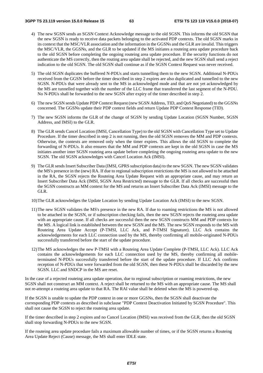- 4) The new SGSN sends an SGSN Context Acknowledge message to the old SGSN. This informs the old SGSN that the new SGSN is ready to receive data packets belonging to the activated PDP contexts. The old SGSN marks in its context that the MSC/VLR association and the information in the GGSNs and the GLR are invalid. This triggers the MSC/VLR, the GGSNs, and the GLR to be updated if the MS initiates a routeing area update procedure back to the old SGSN before completing the ongoing routeing area update procedure. If the security functions do not authenticate the MS correctly, then the routing area update shall be rejected, and the new SGSN shall send a reject indication to the old SGSN. The old SGSN shall continue as if the SGSN Context Request was never received.
- 5) The old SGSN duplicates the buffered N-PDUs and starts tunnelling them to the new SGSN. Additional N-PDUs received from the GGSN before the timer described in step 2 expires are also duplicated and tunnelled to the new SGSN. N-PDUs that were already sent to the MS in acknowledged mode and that are not yet acknowledged by the MS are tunnelled together with the number of the LLC frame that transferred the last segment of the N-PDU. No N-PDUs shall be forwarded to the new SGSN after expiry of the timer described in step 2.
- 6) The new SGSN sends Update PDP Context Request (new SGSN Address, TID, and QoS Negotiated) to the GGSNs concerned. The GGSNs update their PDP context fields and return Update PDP Context Response (TID).
- 7) The new SGSN informs the GLR of the change of SGSN by sending Update Location (SGSN Number, SGSN Address, and IMSI) to the GLR.
- 8) The GLR sends Cancel Location (IMSI, Cancellation Type) to the old SGSN with Cancellation Type set to Update Procedure. If the timer described in step 2 is not running, then the old SGSN removes the MM and PDP contexts. Otherwise, the contexts are removed only when the timer expires. This allows the old SGSN to complete the forwarding of N-PDUs. It also ensures that the MM and PDP contexts are kept in the old SGSN in case the MS initiates another inter SGSN routeing area update before completing the ongoing routeing area update to the new SGSN. The old SGSN acknowledges with Cancel Location Ack (IMSI).
- 9) The GLR sends Insert Subscriber Data (IMSI, GPRS subscription data) to the new SGSN. The new SGSN validates the MS's presence in the (new) RA. If due to regional subscription restrictions the MS is not allowed to be attached in the RA, the SGSN rejects the Routeing Area Update Request with an appropriate cause, and may return an Insert Subscriber Data Ack (IMSI, SGSN Area Restricted) message to the GLR. If all checks are successful then the SGSN constructs an MM context for the MS and returns an Insert Subscriber Data Ack (IMSI) message to the GLR.
- 10) The GLR acknowledges the Update Location by sending Update Location Ack (IMSI) to the new SGSN.
- 11) The new SGSN validates the MS's presence in the new RA. If due to roaming restrictions the MS is not allowed to be attached in the SGSN, or if subscription checking fails, then the new SGSN rejects the routeing area update with an appropriate cause. If all checks are successful then the new SGSN constructs MM and PDP contexts for the MS. A logical link is established between the new SGSN and the MS. The new SGSN responds to the MS with Routeing Area Update Accept (P-TMSI, LLC Ack, and P-TMSI Signature). LLC Ack contains the acknowledgements for each LLC connection used by the MS, thereby confirming all mobile-originated N-PDUs successfully transferred before the start of the update procedure.
- 12) The MS acknowledges the new P-TMSI with a Routeing Area Update Complete (P-TMSI, LLC Ack). LLC Ack contains the acknowledgements for each LLC connection used by the MS, thereby confirming all mobileterminated N-PDUs successfully transferred before the start of the update procedure. If LLC Ack confirms reception of N-PDUs that were forwarded from the old SGSN, then these N-PDUs shall be discarded by the new SGSN. LLC and SNDCP in the MS are reset.

In the case of a rejected routeing area update operation, due to regional subscription or roaming restrictions, the new SGSN shall not construct an MM context. A reject shall be returned to the MS with an appropriate cause. The MS shall not re-attempt a routeing area update to that RA. The RAI value shall be deleted when the MS is powered-up.

If the SGSN is unable to update the PDP context in one or more GGSNs, then the SGSN shall deactivate the corresponding PDP contexts as described in subclause "PDP Context Deactivation Initiated by SGSN Procedure". This shall not cause the SGSN to reject the routeing area update.

If the timer described in step 2 expires and no Cancel Location (IMSI) was received from the GLR, then the old SGSN shall stop forwarding N-PDUs to the new SGSN.

If the routeing area update procedure fails a maximum allowable number of times, or if the SGSN returns a Routeing Area Update Reject (Cause) message, the MS shall enter IDLE state.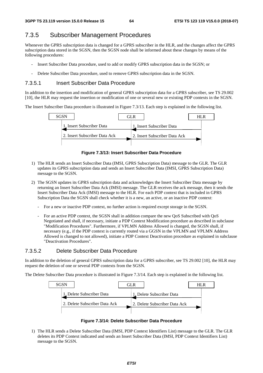# 7.3.5 Subscriber Management Procedures

Whenever the GPRS subscription data is changed for a GPRS subscriber in the HLR, and the changes affect the GPRS subscription data stored in the SGSN, then the SGSN node shall be informed about these changes by means of the following procedures:

- Insert Subscriber Data procedure, used to add or modify GPRS subscription data in the SGSN; or
- Delete Subscriber Data procedure, used to remove GPRS subscription data in the SGSN.

#### 7.3.5.1 Insert Subscriber Data Procedure

In addition to the insertion and modification of general GPRS subscription data for a GPRS subscriber, see TS 29.002 [10], the HLR may request the insertion or modification of one or several new or existing PDP contexts in the SGSN.

The Insert Subscriber Data procedure is illustrated in Figure 7.3/13. Each step is explained in the following list.



**Figure 7.3/13: Insert Subscriber Data Procedure** 

- 1) The HLR sends an Insert Subscriber Data (IMSI, GPRS Subscription Data) message to the GLR. The GLR updates its GPRS subscription data and sends an Insert Subscriber Data (IMSI, GPRS Subscription Data) message to the SGSN.
- 2) The SGSN updates its GPRS subscription data and acknowledges the Insert Subscriber Data message by returning an Insert Subscriber Data Ack (IMSI) message. The GLR receives the ack message, then it sends the Insert Subscriber Data Ack (IMSI) message to the HLR. For each PDP context that is included in GPRS Subscription Data the SGSN shall check whether it is a new, an active, or an inactive PDP context:
	- For a new or inactive PDP context, no further action is required except storage in the SGSN.
	- For an active PDP context, the SGSN shall in addition compare the new QoS Subscribed with QoS Negotiated and shall, if necessary, initiate a PDP Context Modification procedure as described in subclause "Modification Procedures". Furthermore, if VPLMN Address Allowed is changed, the SGSN shall, if necessary (e.g., if the PDP context is currently routed via a GGSN in the VPLMN and VPLMN Address Allowed is changed to not allowed), initiate a PDP Context Deactivation procedure as explained in subclause "Deactivation Procedures".

### 7.3.5.2 Delete Subscriber Data Procedure

In addition to the deletion of general GPRS subscription data for a GPRS subscriber, see TS 29.002 [10], the HLR may request the deletion of one or several PDP contexts from the SGSN.

The Delete Subscriber Data procedure is illustrated in Figure 7.3/14. Each step is explained in the following list.



**Figure 7.3/14: Delete Subscriber Data Procedure** 

1) The HLR sends a Delete Subscriber Data (IMSI, PDP Context Identifiers List) message to the GLR. The GLR deletes its PDP Context indicated and sends an Insert Subscriber Data (IMSI, PDP Context Identifiers List) message to the SGSN.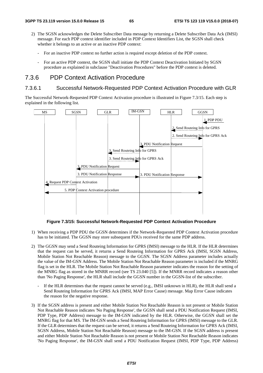- 2) The SGSN acknowledges the Delete Subscriber Data message by returning a Delete Subscriber Data Ack (IMSI) message. For each PDP context identifier included in PDP Context Identifiers List, the SGSN shall check whether it belongs to an active or an inactive PDP context:
	- For an inactive PDP context no further action is required except deletion of the PDP context.
	- For an active PDP context, the SGSN shall initiate the PDP Context Deactivation Initiated by SGSN procedure as explained in subclause "Deactivation Procedures" before the PDP context is deleted.

## 7.3.6 PDP Context Activation Procedure

#### 7.3.6.1 Successful Network-Requested PDP Context Activation Procedure with GLR

The Successful Network-Requested PDP Context Activation procedure is illustrated in Figure 7.3/15. Each step is explained in the following list.



**Figure 7.3/15: Successful Network-Requested PDP Context Activation Procedure** 

- 1) When receiving a PDP PDU the GGSN determines if the Network-Requested PDP Context Activation procedure has to be initiated. The GGSN may store subsequent PDUs received for the same PDP address.
- 2) The GGSN may send a Send Routeing Information for GPRS (IMSI) message to the HLR. If the HLR determines that the request can be served, it returns a Send Routeing Information for GPRS Ack (IMSI, SGSN Address, Mobile Station Not Reachable Reason) message to the GGSN. The SGSN Address parameter includes actually the value of the IM-GSN Address. The Mobile Station Not Reachable Reason parameter is included if the MNRG flag is set in the HLR. The Mobile Station Not Reachable Reason parameter indicates the reason for the setting of the MNRG flag as stored in the MNRR record (see TS 23.040 [5]). If the MNRR record indicates a reason other than 'No Paging Response', the HLR shall include the GGSN number in the GGSN-list of the subscriber.
	- If the HLR determines that the request cannot be served (e.g., IMSI unknown in HLR), the HLR shall send a Send Routeing Information for GPRS Ack (IMSI, MAP Error Cause) message. Map Error Cause indicates the reason for the negative response.
- 3) If the SGSN address is present and either Mobile Station Not Reachable Reason is not present or Mobile Station Not Reachable Reason indicates 'No Paging Response', the GGSN shall send a PDU Notification Request (IMSI, PDP Type, PDP Address) message to the IM-GSN indicated by the HLR. Otherwise, the GGSN shall set the MNRG flag for that MS. The IM-GSN sends a Send Routeing Information for GPRS (IMSI) message to the GLR. If the GLR determines that the request can be served, it returns a Send Routeing Information for GPRS Ack (IMSI, SGSN Address, Mobile Station Not Reachable Reason) message to the IM-GSN. If the SGSN address is present and either Mobile Station Not Reachable Reason is not present or Mobile Station Not Reachable Reason indicates 'No Paging Response', the IM-GSN shall send a PDU Notification Request (IMSI, PDP Type, PDP Address)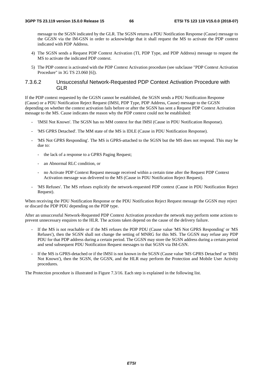message to the SGSN indicated by the GLR. The SGSN returns a PDU Notification Response (Cause) message to the GGSN via the IM-GSN in order to acknowledge that it shall request the MS to activate the PDP context indicated with PDP Address.

- 4) The SGSN sends a Request PDP Context Activation (TI, PDP Type, and PDP Address) message to request the MS to activate the indicated PDP context.
- 5) The PDP context is activated with the PDP Context Activation procedure (see subclause "PDP Context Activation Procedure" in 3G TS 23.060 [6]).

#### 7.3.6.2 Unsuccessful Network-Requested PDP Context Activation Procedure with GLR

If the PDP context requested by the GGSN cannot be established, the SGSN sends a PDU Notification Response (Cause) or a PDU Notification Reject Request (IMSI, PDP Type, PDP Address, Cause) message to the GGSN depending on whether the context activation fails before or after the SGSN has sent a Request PDP Context Activation message to the MS. Cause indicates the reason why the PDP context could not be established:

- 'IMSI Not Known'. The SGSN has no MM context for that IMSI (Cause in PDU Notification Response).
- 'MS GPRS Detached'. The MM state of the MS is IDLE (Cause in PDU Notification Response).
- 'MS Not GPRS Responding'. The MS is GPRS-attached to the SGSN but the MS does not respond. This may be due to:
	- the lack of a response to a GPRS Paging Request:
	- an Abnormal RLC condition, or
	- no Activate PDP Context Request message received within a certain time after the Request PDP Context Activation message was delivered to the MS (Cause in PDU Notification Reject Request).
- 'MS Refuses'. The MS refuses explicitly the network-requested PDP context (Cause in PDU Notification Reject Request).

When receiving the PDU Notification Response or the PDU Notification Reject Request message the GGSN may reject or discard the PDP PDU depending on the PDP type.

After an unsuccessful Network-Requested PDP Context Activation procedure the network may perform some actions to prevent unnecessary enquires to the HLR. The actions taken depend on the cause of the delivery failure.

- If the MS is not reachable or if the MS refuses the PDP PDU (Cause value 'MS Not GPRS Responding' or 'MS Refuses'), then the SGSN shall not change the setting of MNRG for this MS. The GGSN may refuse any PDP PDU for that PDP address during a certain period. The GGSN may store the SGSN address during a certain period and send subsequent PDU Notification Request messages to that SGSN via IM-GSN.
- If the MS is GPRS-detached or if the IMSI is not known in the SGSN (Cause value 'MS GPRS Detached' or 'IMSI Not Known'), then the SGSN, the GGSN, and the HLR may perform the Protection and Mobile User Activity procedures.

The Protection procedure is illustrated in Figure 7.3/16. Each step is explained in the following list.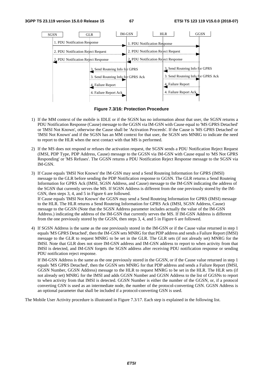

**Figure 7.3/16: Protection Procedure** 

- 1) If the MM context of the mobile is IDLE or if the SGSN has no information about that user, the SGSN returns a PDU Notification Response (Cause) message to the GGSN via IM-GSN with Cause equal to 'MS GPRS Detached' or 'IMSI Not Known', otherwise the Cause shall be 'Activation Proceeds'. If the Cause is 'MS GPRS Detached' or 'IMSI Not Known' and if the SGSN has an MM context for that user, the SGSN sets MNRG to indicate the need to report to the HLR when the next contact with that MS is performed.
- 2) If the MS does not respond or refuses the activation request, the SGSN sends a PDU Notification Reject Request (IMSI, PDP Type, PDP Address, Cause) message to the GGSN via IM-GSN with Cause equal to 'MS Not GPRS Responding' or 'MS Refuses'. The GGSN returns a PDU Notification Reject Response message to the SGSN via IM-GSN.
- 3) If Cause equals 'IMSI Not Known' the IM-GSN may send a Send Routeing Information for GPRS (IMSI) message to the GLR before sending the PDP Notification response to GGSN. The GLR returns a Send Routeing Information for GPRS Ack (IMSI, SGSN Address, and Cause) message to the IM-GSN indicating the address of the SGSN that currently serves the MS. If SGSN Address is different from the one previously stored by the IM-GSN, then steps 3, 4, and 5 in Figure 6 are followed. If Cause equals 'IMSI Not Known' the GGSN may send a Send Routeing Information for GPRS (IMSI) message to the HLR. The HLR returns a Send Routeing Information for GPRS Ack (IMSI, SGSN Address, Cause) message to the GGSN (Note that the SGSN Address parameter includes actually the value of the IM-GSN Address.) indicating the address of the IM-GSN that currently serves the MS. If IM-GSN Address is different from the one previously stored by the GGSN, then steps 3, 4, and 5 in Figure 6 are followed.
- 4) If SGSN Address is the same as the one previously stored in the IM-GSN or if the Cause value returned in step 1 equals 'MS GPRS Detached', then the IM-GSN sets MNRG for that PDP address and sends a Failure Report (IMSI) message to the GLR to request MNRG to be set in the GLR. The GLR sets (if not already set) MNRG for the IMSI. Note that GLR does not store IM-GSN address and IM-GSN address to report to when activity from that IMSI is detected, and IM-GSN forgets the SGSN address after receiving PDU notification response or sending PDU notification reject response.

 If IM-GSN Address is the same as the one previously stored in the GGSN, or if the Cause value returned in step 1 equals 'MS GPRS Detached', then the GGSN sets MNRG for that PDP address and sends a Failure Report (IMSI, GGSN Number, GGSN Address) message to the HLR to request MNRG to be set in the HLR. The HLR sets (if not already set) MNRG for the IMSI and adds GGSN Number and GGSN Address to the list of GGSNs to report to when activity from that IMSI is detected. GGSN Number is either the number of the GGSN, or, if a protocol converting GSN is used as an intermediate node, the number of the protocol-converting GSN. GGSN Address is an optional parameter that shall be included if a protocol-converting GSN is used.

The Mobile User Activity procedure is illustrated in Figure 7.3/17. Each step is explained in the following list.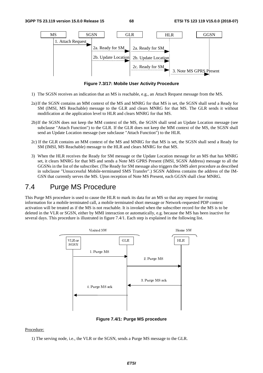

**Figure 7.3/17: Mobile User Activity Procedure** 

- 1) The SGSN receives an indication that an MS is reachable, e.g., an Attach Request message from the MS.
- 2a) If the SGSN contains an MM context of the MS and MNRG for that MS is set, the SGSN shall send a Ready for SM (IMSI, MS Reachable) message to the GLR and clears MNRG for that MS. The GLR sends it without modification at the application level to HLR and clears MNRG for that MS.
- 2b) If the SGSN does not keep the MM context of the MS, the SGSN shall send an Update Location message (see subclause "Attach Function") to the GLR. If the GLR does not keep the MM context of the MS, the SGSN shall send an Update Location message (see subclause "Attach Function") to the HLR.
- 2c) If the GLR contains an MM context of the MS and MNRG for that MS is set, the SGSN shall send a Ready for SM (IMSI, MS Reachable) message to the HLR and clears MNRG for that MS.
- 3) When the HLR receives the Ready for SM message or the Update Location message for an MS that has MNRG set, it clears MNRG for that MS and sends a Note MS GPRS Present (IMSI, SGSN Address) message to all the GGSNs in the list of the subscriber. (The Ready for SM message also triggers the SMS alert procedure as described in subclause "Unsuccessful Mobile-terminated SMS Transfer".) SGSN Address contains the address of the IM-GSN that currently serves the MS. Upon reception of Note MS Present, each GGSN shall clear MNRG.

# 7.4 Purge MS Procedure

This Purge MS procedure is used to cause the HLR to mark its data for an MS so that any request for routing information for a mobile terminated call, a mobile terminated short message or Network-requested PDP context activation will be treated as if the MS is not reachable. It is invoked when the subscriber record for the MS is to be deleted in the VLR or SGSN, either by MMI interaction or automatically, e.g. because the MS has been inactive for several days. This procedure is illustrated in figure 7.4/1. Each step is explained in the following list.



**Figure 7.4/1: Purge MS procedure** 

#### Procedure:

1) The serving node, i.e., the VLR or the SGSN, sends a Purge MS message to the GLR.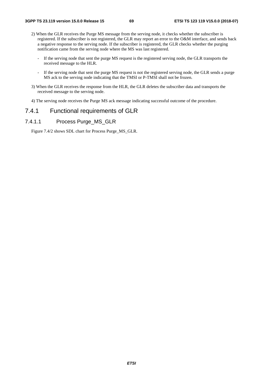- 2) When the GLR receives the Purge MS message from the serving node, it checks whether the subscriber is registered. If the subscriber is not registered, the GLR may report an error to the O&M interface, and sends back a negative response to the serving node. If the subscriber is registered, the GLR checks whether the purging notification came from the serving node where the MS was last registered.
	- If the serving node that sent the purge MS request is the registered serving node, the GLR transports the received message to the HLR.
	- If the serving node that sent the purge MS request is not the registered serving node, the GLR sends a purge MS ack to the serving node indicating that the TMSI or P-TMSI shall not be frozen.
- 3) When the GLR receives the response from the HLR, the GLR deletes the subscriber data and transports the received message to the serving node.
- 4) The serving node receives the Purge MS ack message indicating successful outcome of the procedure.

# 7.4.1 Functional requirements of GLR

#### 7.4.1.1 Process Purge\_MS\_GLR

Figure 7.4/2 shows SDL chart for Process Purge\_MS\_GLR.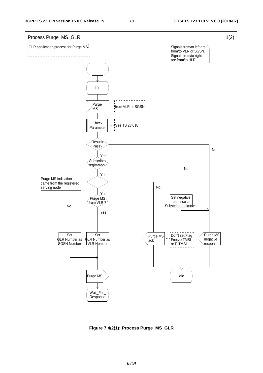

**Figure 7.4/2(1): Process Purge\_MS\_GLR**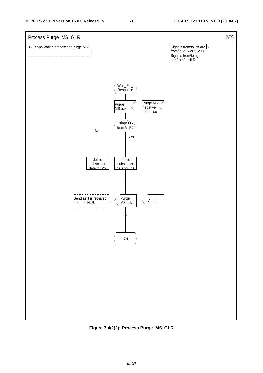

**Figure 7.4/2(2): Process Purge\_MS\_GLR**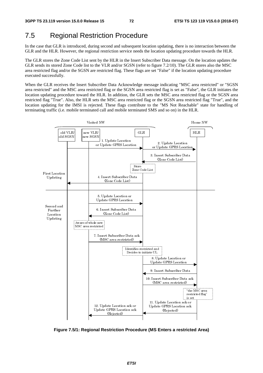# 7.5 Regional Restriction Procedure

In the case that GLR is introduced, during second and subsequent location updating, there is no interaction between the GLR and the HLR. However, the regional restriction service needs the location updating procedure towards the HLR.

The GLR stores the Zone Code List sent by the HLR in the Insert Subscriber Data message. On the location updates the GLR sends its stored Zone Code list to the VLR and/or SGSN (refer to figure 7.2/10). The GLR stores also the MSC area restricted flag and/or the SGSN are restricted flag. These flags are set "False" if the location updating procedure executed successfully.

When the GLR receives the Insert Subscriber Data Acknowledge message indicating "MSC area restricted" or "SGSN area restricted" and the MSC area restricted flag or the SGSN area restricted flag is set as "False", the GLR initiates the location updating procedure toward the HLR. In addition, the GLR sets the MSC area restricted flag or the SGSN area restricted flag "True". Also, the HLR sets the MSC area restricted flag or the SGSN area restricted flag "True", and the location updating for the IMSI is rejected. These flags contribute to the "MS Not Reachable" state for handling of terminating traffic (i.e. mobile terminated call and mobile terminated SMS and so on) in the HLR.



**Figure 7.5/1: Regional Restriction Procedure (MS Enters a restricted Area)**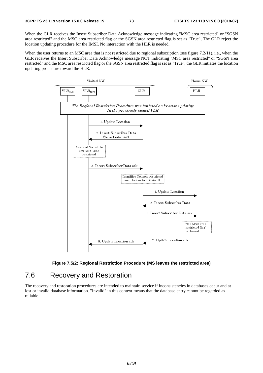When the GLR receives the Insert Subscriber Data Acknowledge message indicating "MSC area restricted" or "SGSN area restricted" and the MSC area restricted flag or the SGSN area restricted flag is set as "True", The GLR reject the location updating procedure for the IMSI. No interaction with the HLR is needed.

When the user returns to an MSC area that is not restricted due to regional subscription (see figure 7.2/11), i.e., when the GLR receives the Insert Subscriber Data Acknowledge message NOT indicating "MSC area restricted" or "SGSN area restricted" and the MSC area restricted flag or the SGSN area restricted flag is set as "True", the GLR initiates the location updating procedure toward the HLR.





# 7.6 Recovery and Restoration

The recovery and restoration procedures are intended to maintain service if inconsistencies in databases occur and at lost or invalid database information. "Invalid" in this context means that the database entry cannot be regarded as reliable.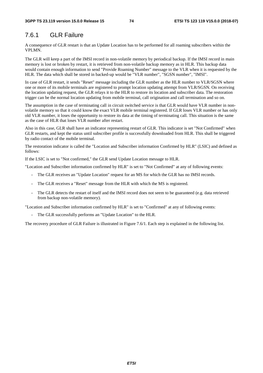# 7.6.1 GLR Failure

A consequence of GLR restart is that an Update Location has to be performed for all roaming subscribers within the VPLMN.

The GLR will keep a part of the IMSI record in non-volatile memory by periodical backup. If the IMSI record in main memory is lost or broken by restart, it is retrieved from non-volatile backup memory as in HLR. This backup data would contain enough information to send "Provide Roaming Number" message to the VLR when it is requested by the HLR. The data which shall be stored in backed-up would be "VLR number", "SGSN number", "IMSI".

In case of GLR restart, it sends "Reset" message including the GLR number as the HLR number to VLR/SGSN where one or more of its mobile terminals are registered to prompt location updating attempt from VLR/SGSN. On receiving the location updating request, the GLR relays it to the HLR to restore its location and subscriber data. The restoration trigger can be the normal location updating from mobile terminal, call origination and call termination and so on.

The assumption in the case of terminating call in circuit switched service is that GLR would have VLR number in nonvolatile memory so that it could know the exact VLR mobile terminal registered. If GLR loses VLR number or has only old VLR number, it loses the opportunity to restore its data at the timing of terminating call. This situation is the same as the case of HLR that loses VLR number after restart.

Also in this case, GLR shall have an indicator representing restart of GLR. This indicator is set "Not Confirmed" when GLR restarts, and kept the status until subscriber profile is successfully downloaded from HLR. This shall be triggered by radio contact of the mobile terminal.

The restoration indicator is called the "Location and Subscriber information Confirmed by HLR" (LSIC) and defined as follows:

If the LSIC is set to "Not confirmed," the GLR send Update Location message to HLR.

"Location and Subscriber information confirmed by HLR" is set to "Not Confirmed" at any of following events:

- The GLR receives an "Update Location" request for an MS for which the GLR has no IMSI records.
- The GLR receives a "Reset" message from the HLR with which the MS is registered.
- The GLR detects the restart of itself and the IMSI record does not seem to be guaranteed (e.g. data retrieved from backup non-volatile memory).

"Location and Subscriber information confirmed by HLR" is set to "Confirmed" at any of following events:

- The GLR successfully performs an "Update Location" to the HLR.

The recovery procedure of GLR Failure is illustrated in Figure 7.6/1. Each step is explained in the following list.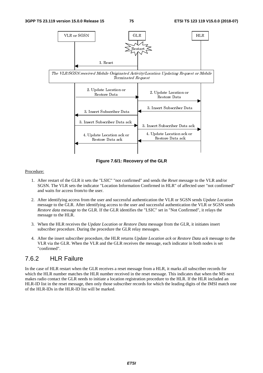

**Figure 7.6/1: Recovery of the GLR**

#### Procedure:

- 1. After restart of the GLR it sets the "LSIC" "not confirmed" and sends the *Reset* message to the VLR and/or SGSN. The VLR sets the indicator "Location Information Confirmed in HLR" of affected user "not confirmed" and waits for access from/to the user.
- 2. After identifying access from the user and successful authentication the VLR or SGSN sends *Update Location* message to the GLR. After identifying access to the user and successful authentication the VLR or SGSN sends *Restore data* message to the GLR. If the GLR identifies the "LSIC" set in "Not Confirmed", it relays the message to the HLR.
- 3. When the HLR receives the *Update Location* or *Restore Data* message from the GLR, it initiates insert subscriber procedure. During the procedure the GLR relay messages.
- 4. After the insert subscriber procedure, the HLR returns *Update Location ack* or *Restore Data ack* message to the VLR via the GLR. When the VLR and the GLR receives the message, each indicator in both nodes is set "confirmed".

# 7.6.2 HLR Failure

In the case of HLR restart when the GLR receives a reset message from a HLR, it marks all subscriber records for which the HLR number matches the HLR number received in the reset message. This indicates that when the MS next makes radio contact the GLR needs to initiate a location registration procedure to the HLR. If the HLR included an HLR-ID list in the reset message, then only those subscriber records for which the leading digits of the IMSI match one of the HLR-IDs in the HLR-ID list will be marked.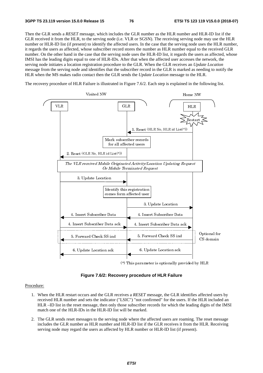Then the GLR sends a *RESET* message, which includes the GLR number as the HLR number and HLR-ID list if the GLR received it from the HLR, to the serving node (i.e. VLR or SGSN). The receiving serving node may use the HLR number or HLR-ID list (if present) to identify the affected users. In the case that the serving node uses the HLR number, it regards the users as affected, whose subscriber record stores the number as HLR number equal to the received GLR number. On the other hand in the case that the serving node uses the HLR-ID list, it regards the users as affected, whose IMSI has the leading digits equal to one of HLR-IDs. After that when the affected user accesses the network, the serving node initiates a location registration procedure to the GLR. When the GLR receives an *Update Location* message from the serving node and identifies that the subscriber record in the GLR is marked as needing to notify the HLR when the MS makes radio contact then the GLR sends the *Update Location* message to the HLR.

The recovery procedure of HLR Failure is illustrated in Figure 7.6/2. Each step is explained in the following list.



(\*) This parameter is optionally provided by HLR

**Figure 7.6/2: Recovery procedure of HLR Failure** 

#### Procedure:

- 1. When the HLR restart occurs and the GLR receives a *RESET* message, the GLR identifies affected users by received HLR number and sets the indicator ("LSIC") "not confirmed" for the users. If the HLR included an HLR –ID list in the reset message, then only those subscriber records for which the leading digits of the IMSI match one of the HLR-IDs in the HLR-ID list will be marked.
- 2. The GLR sends reset messages to the serving node where the affected users are roaming. The reset message includes the GLR number as HLR number and HLR-ID list if the GLR receives it from the HLR. Receiving serving node may regard the users as affected by HLR number or HLR-ID list (if present).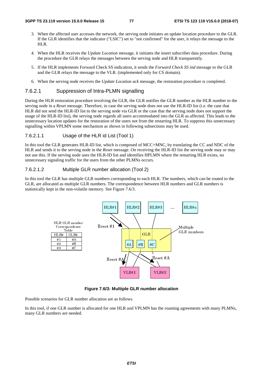- 3. When the affected user accesses the network, the serving node initiates an update location procedure to the GLR. If the GLR identifies that the indicator ("LSIC") set to "not confirmed" for the user, it relays the message to the HLR.
- 4. When the HLR receives the *Update Location* message, it initiates the insert subscriber data procedure. During the procedure the GLR relays the messages between the serving node and HLR transparently.
- 5. If the HLR implements Forward Check SS indication, it sends the *Forward Check SS ind* message to the GLR and the GLR relays the message to the VLR. (implemented only for CS domain).
- 6. When the serving node receives the *Update Location ack* message, the restoration procedure is completed.

#### 7.6.2.1 Suppression of Intra-PLMN signalling

During the HLR restoration procedure involving the GLR, the GLR notifies the GLR number as the HLR number to the serving node in a *Reset* message. Therefore, in case the serving node does not use the HLR-ID list (i.e. the case that HLR did not send the HLR-ID list to the serving node via GLR or the case that the serving node does not support the usage of the HLR-ID list), the serving node regards all users accommodated into the GLR as affected. This leads to the unnecessary location updates for the restoration of the users not from the restarting HLR. To suppress this unnecessary signalling within VPLMN some mechanism as shown in following subsections may be used.

#### 7.6.2.1.1 Usage of the HLR id List (Tool 1)

In this tool the GLR generates HLR-ID list, which is composed of MCC+MNC, by translating the CC and NDC of the HLR and sends it to the serving node in the *Reset* message. On receiving the HLR-ID list the serving node may or may not use this. If the serving node uses the HLR-ID list and identifies HPLMN where the restarting HLR exists, no unnecessary signaling traffic for the users from the other PLMNs occurs.

### 7.6.2.1.2 Multiple GLR number allocation (Tool 2)

In this tool the GLR has multiple GLR numbers corresponding to each HLR. The numbers, which can be routed to the GLR, are allocated as multiple GLR numbers. The correspondence between HLR numbers and GLR numbers is statistically kept in the non-volatile memory. See Figure 7.6/3.



**Figure 7.6/3: Multiple GLR number allocation** 

Possible scenarios for GLR number allocation are as follows.

In this tool, if one GLR number is allocated for one HLR and VPLMN has the roaming agreements with many PLMNs, many GLR numbers are needed.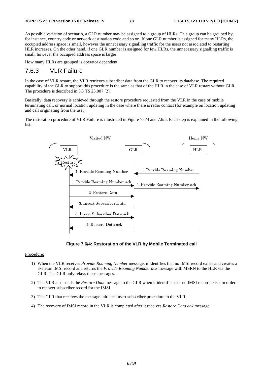As possible variation of scenario, a GLR number may be assigned to a group of HLRs. This group can be grouped by, for instance, country code or network destination code and so on. If one GLR number is assigned for many HLRs, the occupied address space is small, however the unnecessary signalling traffic for the users not associated to restarting HLR increases. On the other hand, if one GLR number is assigned for few HLRs, the unnecessary signalling traffic is small, however the occupied address space is larger.

How many HLRs are grouped is operator dependent.

# 7.6.3 VLR Failure

In the case of VLR restart, the VLR retrieves subscriber data from the GLR to recover its database. The required capability of the GLR to support this procedure is the same as that of the HLR in the case of VLR restart without GLR. The procedure is described in 3G TS 23.007 [2].

Basically, data recovery is achieved through the restore procedure requested from the VLR in the case of mobile terminating call, or normal location updating in the case where there is radio contact (for example on location updating and call originating from the user).

The restoration procedure of VLR Failure is illustrated in Figure 7.6/4 and 7.6/5. Each step is explained in the following list.



**Figure 7.6/4: Restoration of the VLR by Mobile Terminated call** 

Procedure:

- 1) When the VLR receives *Provide Roaming Number* message, it identifies that no IMSI record exists and creates a skeleton IMSI record and returns the *Provide Roaming Number ack* message with MSRN to the HLR via the GLR. The GLR only relays these messages.
- 2) The VLR also sends the *Restore Dat*a message to the GLR when it identifies that no IMSI record exists in order to recover subscriber record for the IMSI.
- 3) The GLR that receives the message initiates insert subscriber procedure to the VLR.
- 4) The recovery of IMSI record in the VLR is completed after it receives *Restore Data ack* message.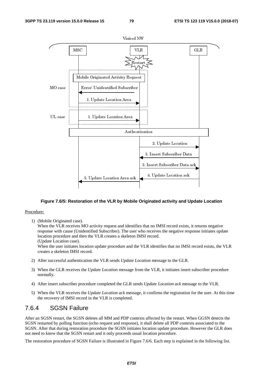

#### **Figure 7.6/5: Restoration of the VLR by Mobile Originated activity and Update Location**

#### Procedure:

1) (Mobile Originated case).

When the VLR receives MO activity request and identifies that no IMSI record exists, it returns negative response with cause (Unidentified Subscriber). The user who receives the negative response initiates update location procedure and then the VLR creates a skeleton IMSI record.

(Update Location case).

When the user initiates location update procedure and the VLR identifies that no IMSI record exists, the VLR creates a skeleton IMSI record.

- 2) After successful authentication the VLR sends *Update Location* message to the GLR.
- 3) When the GLR receives the *Update Location* message from the VLR, it initiates insert subscriber procedure normally.
- 4) After insert subscriber procedure completed the GLR sends *Update Location ack* message to the VLR.
- 5) When the VLR receives the *Update Location ack* message, it confirms the registration for the user. At this time the recovery of IMSI record in the VLR is completed.

# 7.6.4 SGSN Failure

After an SGSN restart, the SGSN deletes all MM and PDP contexts affected by the restart. When GGSN detects the SGSN restarted by polling function (echo request and response), it shall delete all PDP contexts associated to the SGSN. After that during restoration procedure the SGSN initiates location update procedure. However the GLR does not need to know that the SGSN restart and it only proceeds usual location procedure.

The restoration procedure of SGSN Failure is illustrated in Figure 7.6/6. Each step is explained in the following list.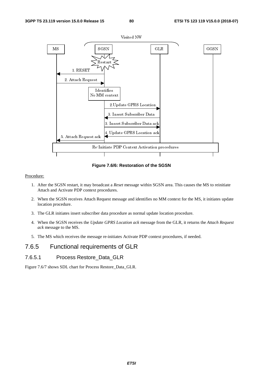

**Figure 7.6/6: Restoration of the SGSN** 

#### Procedure:

- 1. After the SGSN restart, it may broadcast a *Reset* message within SGSN area. This causes the MS to reinitiate Attach and Activate PDP context procedures.
- 2. When the SGSN receives Attach Request message and identifies no MM context for the MS, it initiates update location procedure.
- 3. The GLR initiates insert subscriber data procedure as normal update location procedure.
- 4. When the SGSN receives the *Update GPRS Location ack* message from the GLR, it returns the *Attach Request ack* message to the MS.
- 5. The MS which receives the message re-initiates Activate PDP context procedures, if needed.

# 7.6.5 Functional requirements of GLR

### 7.6.5.1 Process Restore\_Data\_GLR

Figure 7.6/7 shows SDL chart for Process Restore\_Data\_GLR.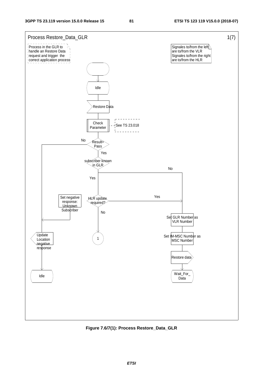

**Figure 7.6/7(1): Process Restore\_Data\_GLR**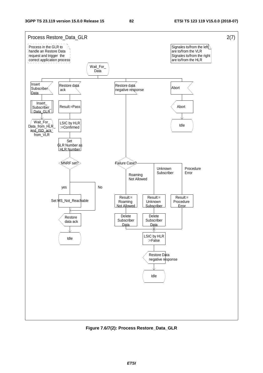

**Figure 7.6/7(2): Process Restore\_Data\_GLR**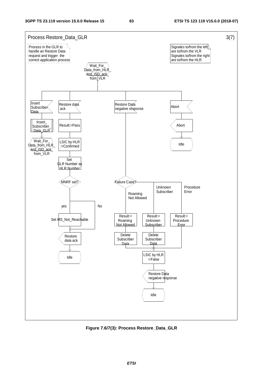

**Figure 7.6/7(3): Process Restore\_Data\_GLR**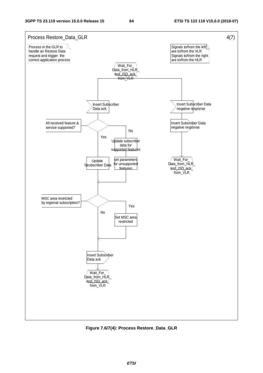

**Figure 7.6/7(4): Process Restore\_Data\_GLR**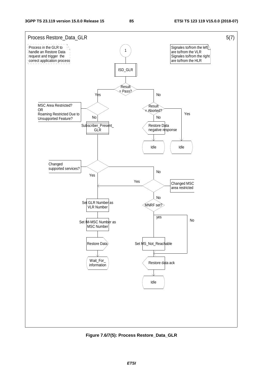

**Figure 7.6/7(5): Process Restore\_Data\_GLR**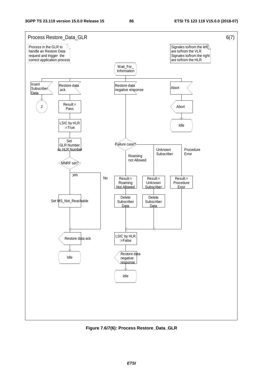

**Figure 7.6/7(6): Process Restore\_Data\_GLR**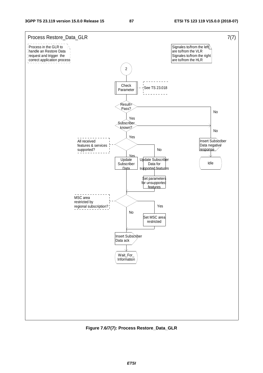

**Figure 7.6/7(7): Process Restore\_Data\_GLR**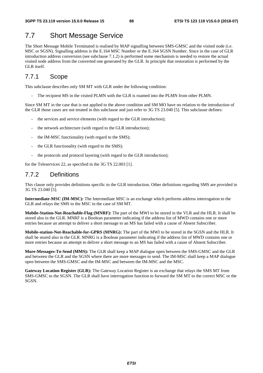# 7.7 Short Message Service

The Short Message Mobile Terminated is realised by MAP signalling between SMS-GMSC and the visited node (i.e. MSC or SGSN). Signalling address is the E.164 MSC Number or the E.164 SGSN Number. Since in the case of GLR introduction address conversion (see subclause 7.1.2) is performed some mechanism is needed to restore the actual visited node address from the converted one generated by the GLR. In principle that restoration is performed by the GLR itself.

# 7.7.1 Scope

This subclause describes only SM MT with GLR under the following condition:

The recipient MS in the visited PLMN with the GLR is roamed into the PLMN from other PLMN.

Since SM MT in the case that is not applied to the above condition and SM MO have no relation to the introduction of the GLR those cases are not treated in this subclause and just refer to 3G TS 23.040 [5]. This subclause defines:

- the services and service elements (with regard to the GLR introduction);
- the network architecture (with regard to the GLR introduction);
- the IM-MSC functionality (with regard to the SMS);
- the GLR functionality (with regard to the SMS);
- the protocols and protocol layering (with regard to the GLR introduction);

for the Teleservices 22, as specified in the 3G TS 22.003 [1].

# 7.7.2 Definitions

This clause only provides definitions specific to the GLR introduction. Other definitions regarding SMS are provided in 3G TS 23.040 [5].

**Intermediate-MSC (IM-MSC):** The Intermediate MSC is an exchange which performs address interrogation to the GLR and relays the SMS to the MSC in the case of SM MT.

**Mobile-Station-Not-Reachable-Flag (MNRF):** The part of the MWI to be stored in the VLR and the HLR. It shall be stored also in the GLR. MNRF is a Boolean parameter indicating if the address list of MWD contains one or more entries because an attempt to deliver a short message to an MS has failed with a cause of Absent Subscriber.

**Mobile-station-Not-Reachable-for-GPRS (MNRG):** The part of the MWI to be stored in the SGSN and the HLR. It shall be stored also in the GLR. MNRG is a Boolean parameter indicating if the address list of MWD contains one or more entries because an attempt to deliver a short message to an MS has failed with a cause of Absent Subscriber.

**More-Messages-To-Send (MMS):** The GLR shall keep a MAP dialogue open between the SMS-GMSC and the GLR and between the GLR and the SGSN where there are more messages to send. The IM-MSC shall keep a MAP dialogue open between the SMS-GMSC and the IM-MSC and between the IM-MSC and the MSC.

**Gateway Location Register (GLR):** The Gateway Location Register is an exchange that relays the SMS MT from SMS-GMSC to the SGSN. The GLR shall have interrogation function to forward the SM MT to the correct MSC or the SGSN.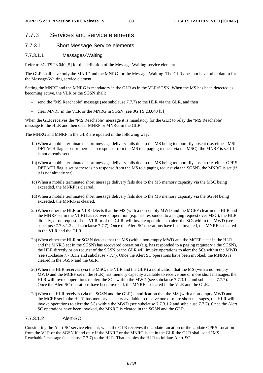# 7.7.3 Services and service elements

#### 7.7.3.1 Short Message Service elements

#### 7.7.3.1.1 Messages-Waiting

Refer to 3G TS 23.040 [5] for the definition of the Message-Waiting service element.

The GLR shall have only the MNRF and the MNRG for the Message-Waiting. The GLR does not have other datum for the Message-Waiting service element.

Setting the MNRF and the MNRG is mandatory in the GLR as in the VLR/SGSN. When the MS has been detected as becoming active, the VLR or the SGSN shall:

- send the "MS Reachable" message (see subclause 7.7.7) to the HLR via the GLR, and then
- clear MNRF in the VLR or the MNRG in SGSN (see 3G TS 23.040 [5]).

When the GLR receives the "MS Reachable" message it is mandatory for the GLR to relay the "MS Reachable" message to the HLR and then clear MNRF or MNRG in the GLR.

The MNRG and MNRF in the GLR are updated in the following way:

- 1a) When a mobile terminated short message delivery fails due to the MS being temporarily absent (i.e. either IMSI DETACH flag is set or there is no response from the MS to a paging request via the MSC), the MNRF is set (if it is not already set).
- 1b) When a mobile terminated short message delivery fails due to the MS being temporarily absent (i.e. either GPRS DETACH flag is set or there is no response from the MS to a paging request via the SGSN), the MNRG is set (if it is not already set).
- 1c) When a mobile terminated short message delivery fails due to the MS memory capacity via the MSC being exceeded, the MNRF is cleared.
- 1d) When a mobile terminated short message delivery fails due to the MS memory capacity via the SGSN being exceeded, the MNRG is cleared.
- 2a) When either the HLR or VLR detects that the MS (with a non-empty MWD and the MCEF clear in the HLR and the MNRF set in the VLR) has recovered operation (e.g. has responded to a paging request over MSC), the HLR directly, or on request of the VLR or of the GLR, will invoke operations to alert the SCs within the MWD (see subclause 7.7.3.1.2 and subclause 7.7.7). Once the Alert SC operations have been invoked, the MNRF is cleared in the VLR and the GLR.
- 2b) When either the HLR or SGSN detects that the MS (with a non-empty MWD and the MCEF clear in the HLR and the MNRG set in the SGSN) has recovered operation (e.g. has responded to a paging request via the SGSN), the HLR directly or on request of the SGSN or the GLR will invoke operations to alert the SCs within the MWD (see subclause 7.7.3.1.2 and subclause 7.7.7). Once the Alert SC operations have been invoked, the MNRG is cleared in the SGSN and the GLR.
- 2c) When the HLR receives (via the MSC, the VLR and the GLR) a notification that the MS (with a non-empty MWD and the MCEF set in the HLR) has memory capacity available to receive one or more short messages, the HLR will invoke operations to alert the SCs within the MWD (see subclause 7.7.3.1.2 and subclause 7.7.7). Once the Alert SC operations have been invoked, the MNRF is cleared in the VLR and the GLR.
- 2d) When the HLR receives (via the SGSN and the GLR) a notification that the MS (with a non-empty MWD and the MCEF set in the HLR) has memory capacity available to receive one or more short messages, the HLR will invoke operations to alert the SCs within the MWD (see subclause 7.7.3.1.2 and subclause 7.7.7). Once the Alert SC operations have been invoked, the MNRG is cleared in the SGSN and the GLR.

#### 7.7.3.1.2 Alert-SC

Considering the Alert-SC service element, when the GLR receives the Update Location or the Update GPRS Location from the VLR or the SGSN if and only if the MNRF or the MNRG is set in the GLR the GLR shall send "MS Reachable" message (see clause 7.7.7) to the HLR. That enables the HLR to initiate Alert-SC.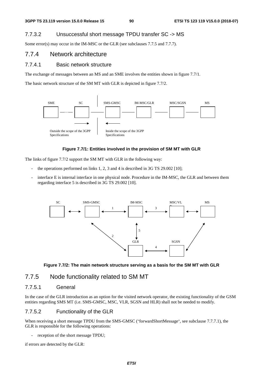### 7.7.3.2 Unsuccessful short message TPDU transfer SC -> MS

Some error(s) may occur in the IM-MSC or the GLR (see subclauses 7.7.5 and 7.7.7).

# 7.7.4 Network architecture

### 7.7.4.1 Basic network structure

The exchange of messages between an MS and an SME involves the entities shown in figure 7.7/1.

The basic network structure of the SM MT with GLR is depicted in figure 7.7/2.



#### **Figure 7.7/1: Entities involved in the provision of SM MT with GLR**

The links of figure 7.7/2 support the SM MT with GLR in the following way:

- the operations performed on links  $1, 2, 3$  and  $4$  is described in  $3G$  TS  $29.002$  [10];
- interface E is internal interface in one physical node. Procedure in the IM-MSC, the GLR and between them regarding interface 5 is described in 3G TS 29.002 [10].





### 7.7.5 Node functionality related to SM MT

#### 7.7.5.1 General

In the case of the GLR introduction as an option for the visited network operator, the existing functionality of the GSM entities regarding SMS MT (i.e. SMS-GMSC, MSC, VLR, SGSN and HLR) shall not be needed to modify.

### 7.7.5.2 Functionality of the GLR

When receiving a short message TPDU from the SMS-GMSC ("forwardShortMessage", see subclause 7.7.7.1), the GLR is responsible for the following operations:

reception of the short message TPDU;

if errors are detected by the GLR: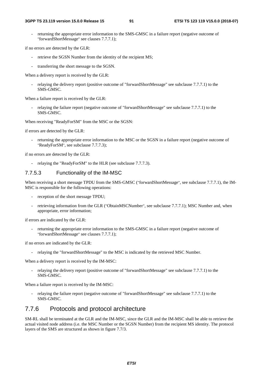returning the appropriate error information to the SMS-GMSC in a failure report (negative outcome of "forwardShortMessage" see clauses 7.7.7.1);

if no errors are detected by the GLR:

- retrieve the SGSN Number from the identity of the recipient MS;
- transferring the short message to the SGSN.

When a delivery report is received by the GLR:

relaying the delivery report (positive outcome of "forwardShortMessage" see subclause 7.7.7.1) to the SMS-GMSC.

When a failure report is received by the GLR:

relaying the failure report (negative outcome of "forwardShortMessage" see subclause 7.7.7.1) to the SMS-GMSC.

When receiving "ReadyForSM" from the MSC or the SGSN:

if errors are detected by the GLR:

returning the appropriate error information to the MSC or the SGSN in a failure report (negative outcome of "ReadyForSM", see subclause 7.7.7.3);

if no errors are detected by the GLR:

relaying the "ReadyForSM" to the HLR (see subclause 7.7.7.3).

### 7.7.5.3 Functionality of the IM-MSC

When receiving a short message TPDU from the SMS-GMSC ("forwardShortMessage", see subclause 7.7.7.1), the IM-MSC is responsible for the following operations:

- reception of the short message TPDU;
- retrieving information from the GLR ("ObtainMSCNumber", see subclause 7.7.7.1); MSC Number and, when appropriate, error information;

if errors are indicated by the GLR:

returning the appropriate error information to the SMS-GMSC in a failure report (negative outcome of "forwardShortMessage" see clauses 7.7.7.1);

if no errors are indicated by the GLR:

relaying the "forwardShortMessage" to the MSC is indicated by the retrieved MSC Number.

When a delivery report is received by the IM-MSC:

relaying the delivery report (positive outcome of "forwardShortMessage" see subclause 7.7.7.1) to the SMS-GMSC.

When a failure report is received by the IM-MSC:

relaying the failure report (negative outcome of "forwardShortMessage" see subclause 7.7.7.1) to the SMS-GMSC.

### 7.7.6 Protocols and protocol architecture

SM-RL shall be terminated at the GLR and the IM-MSC, since the GLR and the IM-MSC shall be able to retrieve the actual visited node address (i.e. the MSC Number or the SGSN Number) from the recipient MS identity. The protocol layers of the SMS are structured as shown in figure 7.7/3.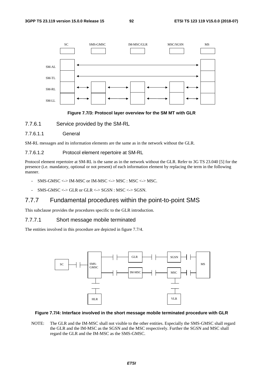

#### **Figure 7.7/3: Protocol layer overview for the SM MT with GLR**

- 7.7.6.1 Service provided by the SM-RL
- 7.7.6.1.1 General

SM-RL messages and its information elements are the same as in the network without the GLR.

#### 7.7.6.1.2 Protocol element repertoire at SM-RL

Protocol element repertoire at SM-RL is the same as in the network without the GLR. Refer to 3G TS 23.040 [5] for the presence (i.e. mandatory, optional or not present) of each information element by replacing the term in the following manner.

- SMS-GMSC <-> IM-MSC or IM-MSC <-> MSC : MSC <-> MSC.
- $SMS-GMSC \Longleftrightarrow GLR$  or  $GLR \Longleftrightarrow SGSN$  :  $MSC \Longleftrightarrow SGSN$ .

### 7.7.7 Fundamental procedures within the point-to-point SMS

This subclause provides the procedures specific to the GLR introduction.

#### 7.7.7.1 Short message mobile terminated

The entities involved in this procedure are depicted in figure 7.7/4.



#### **Figure 7.7/4: Interface involved in the short message mobile terminated procedure with GLR**

NOTE: The GLR and the IM-MSC shall not visible to the other entities. Especially the SMS-GMSC shall regard the GLR and the IM-MSC as the SGSN and the MSC respectively. Further the SGSN and MSC shall regard the GLR and the IM-MSC as the SMS-GMSC.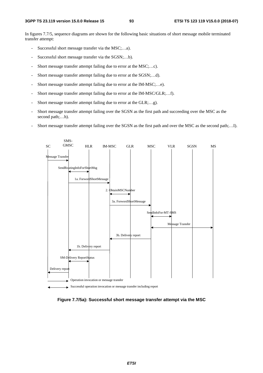In figures 7.7/5, sequence diagrams are shown for the following basic situations of short message mobile terminated transfer attempt:

- Successful short message transfer via the MSC;...a).
- Successful short message transfer via the SGSN;...b).
- Short message transfer attempt failing due to error at the MSC;...c).
- Short message transfer attempt failing due to error at the SGSN;...d).
- Short message transfer attempt failing due to error at the IM-MSC;...e).
- Short message transfer attempt failing due to error at the IM-MSC/GLR;...f).
- Short message transfer attempt failing due to error at the GLR;...g).
- Short message transfer attempt failing over the SGSN as the first path and succeeding over the MSC as the second path;...h).
- Short message transfer attempt failing over the SGSN as the first path and over the MSC as the second path;...I).



**Figure 7.7/5a): Successful short message transfer attempt via the MSC**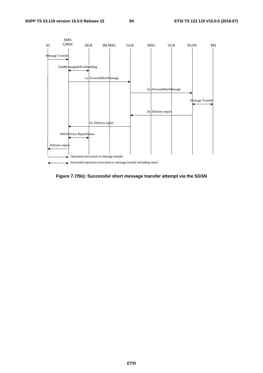

**Figure 7.7/5b): Successful short message transfer attempt via the SGSN**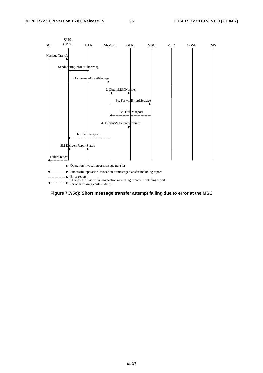

**Figure 7.7/5c): Short message transfer attempt failing due to error at the MSC**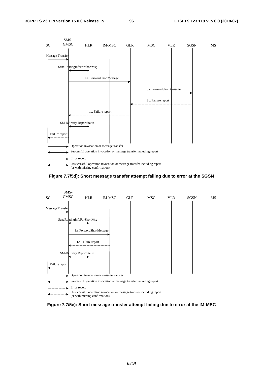

**Figure 7.7/5d): Short message transfer attempt failing due to error at the SGSN** 



**Figure 7.7/5e): Short message transfer attempt failing due to error at the IM-MSC**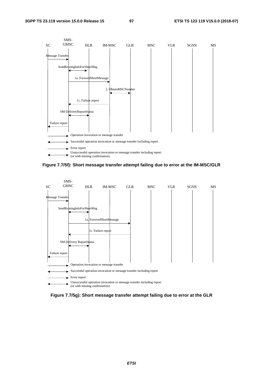

**Figure 7.7/5f): Short message transfer attempt failing due to error at the IM-MSC/GLR** 



**Figure 7.7/5g): Short message transfer attempt failing due to error at the GLR**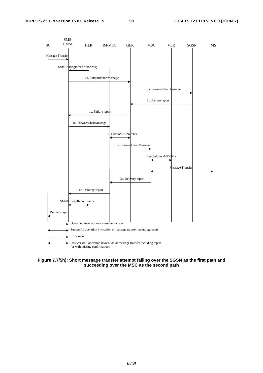

**Figure 7.7/5h): Short message transfer attempt failing over the SGSN as the first path and succeeding over the MSC as the second path**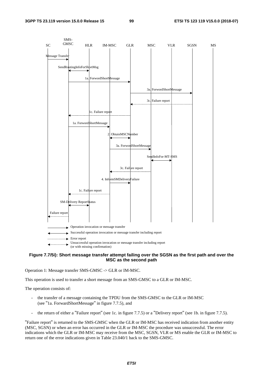

#### **Figure 7.7/5i): Short message transfer attempt failing over the SGSN as the first path and over the MSC as the second path**

Operation 1: Message transfer SMS-GMSC -> GLR or IM-MSC.

This operation is used to transfer a short message from an SMS-GMSC to a GLR or IM-MSC.

The operation consists of:

- the transfer of a message containing the TPDU from the SMS-GMSC to the GLR or IM-MSC (see "1a. ForwardShortMessage" in figure 7.7.5), and
- the return of either a "Failure report" (see 1c. in figure 7.7.5) or a "Delivery report" (see 1b. in figure 7.7.5).

"Failure report" is returned to the SMS-GMSC when the GLR or IM-MSC has received indication from another entity (MSC, SGSN) or when an error has occurred in the GLR or IM-MSC the procedure was unsuccessful. The error indications which the GLR or IM-MSC may receive from the MSC, SGSN, VLR or MS enable the GLR or IM-MSC to return one of the error indications given in Table 23.040/1 back to the SMS-GMSC.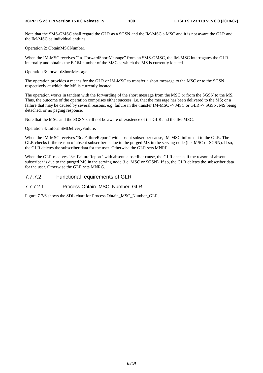Note that the SMS-GMSC shall regard the GLR as a SGSN and the IM-MSC a MSC and it is not aware the GLR and the IM-MSC as individual entities.

Operation 2: ObtainMSCNumber.

When the IM-MSC receives "1a. ForwardShortMessage" from an SMS-GMSC, the IM-MSC interrogates the GLR internally and obtains the E.164 number of the MSC at which the MS is currently located.

Operation 3: forwardShortMessage.

The operation provides a means for the GLR or IM-MSC to transfer a short message to the MSC or to the SGSN respectively at which the MS is currently located.

The operation works in tandem with the forwarding of the short message from the MSC or from the SGSN to the MS. Thus, the outcome of the operation comprises either success, i.e. that the message has been delivered to the MS; or a failure that may be caused by several reasons, e.g. failure in the transfer IM-MSC -> MSC or GLR -> SGSN, MS being detached, or no paging response.

Note that the MSC and the SGSN shall not be aware of existence of the GLR and the IM-MSC.

Operation 4: InformSMDeliveryFailure.

When the IM-MSC receives "3c. FailureReport" with absent subscriber cause, IM-MSC informs it to the GLR. The GLR checks if the reason of absent subscriber is due to the purged MS in the serving node (i.e. MSC or SGSN). If so, the GLR deletes the subscriber data for the user. Otherwise the GLR sets MNRF.

When the GLR receives "3c. FailureReport" with absent subscriber cause, the GLR checks if the reason of absent subscriber is due to the purged MS in the serving node (i.e. MSC or SGSN). If so, the GLR deletes the subscriber data for the user. Otherwise the GLR sets MNRG.

### 7.7.7.2 Functional requirements of GLR

#### 7.7.7.2.1 Process Obtain\_MSC\_Number\_GLR

Figure 7.7/6 shows the SDL chart for Process Obtain\_MSC\_Number\_GLR.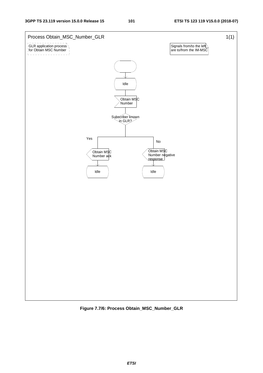

**Figure 7.7/6: Process Obtain\_MSC\_Number\_GLR**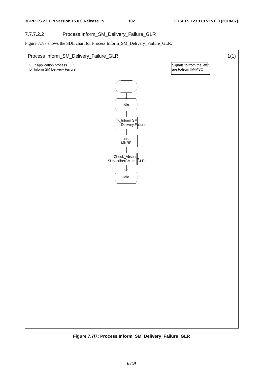### 7.7.7.2.2 Process Inform\_SM\_Delivery\_Failure\_GLR

Figure 7.7/7 shows the SDL chart for Process Inform\_SM\_Delivery\_Failure\_GLR.



**Figure 7.7/7: Process Inform\_SM\_Delivery\_Failure\_GLR**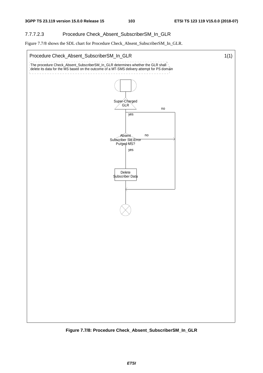### 7.7.7.2.3 Procedure Check\_Absent\_SubscriberSM\_In\_GLR

Figure 7.7/8 shows the SDL chart for Procedure Check\_Absent\_SubscriberSM\_In\_GLR.



**Figure 7.7/8: Procedure Check\_Absent\_SubscriberSM\_In\_GLR**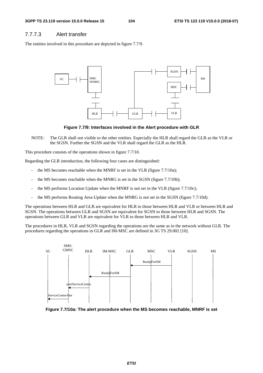### 7.7.7.3 Alert transfer

The entities involved in this procedure are depicted in figure 7.7/9.



**Figure 7.7/9: Interfaces involved in the Alert procedure with GLR** 

NOTE: The GLR shall not visible to the other entities. Especially the HLR shall regard the GLR as the VLR or the SGSN. Further the SGSN and the VLR shall regard the GLR as the HLR.

This procedure consists of the operations shown in figure 7.7/10.

Regarding the GLR introduction, the following four cases are distinguished:

- the MS becomes reachable when the MNRF is set in the VLR (figure 7.7/10a);
- the MS becomes reachable when the MNRG is set in the SGSN (figure 7.7/10b);
- the MS performs Location Update when the MNRF is not set in the VLR (figure 7.7/10c);
- the MS performs Routing Area Update when the MNRG is not set in the SGSN (figure 7.7/10d).

The operations between HLR and GLR are equivalent for HLR to those between HLR and VLR or between HLR and SGSN. The operations between GLR and SGSN are equivalent for SGSN to those between HLR and SGSN. The operations between GLR and VLR are equivalent for VLR to those between HLR and VLR.

The procedures in HLR, VLR and SGSN regarding the operations are the same as in the network without GLR. The procedures regarding the operations in GLR and IM-MSC are defined in 3G TS 29.002 [10].



**Figure 7.7/10a: The alert procedure when the MS becomes reachable, MNRF is set**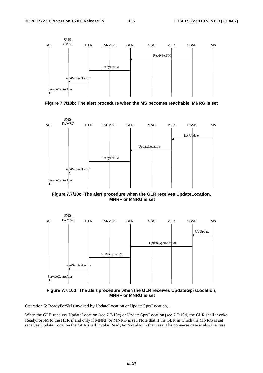

**Figure 7.7/10b: The alert procedure when the MS becomes reachable, MNRG is set** 



**Figure 7.7/10c: The alert procedure when the GLR receives UpdateLocation, MNRF or MNRG is set** 



**Figure 7.7/10d: The alert procedure when the GLR receives UpdateGprsLocation, MNRF or MNRG is set** 

Operation 5: ReadyForSM (invoked by UpdateLocation or UpdateGprsLocation).

When the GLR receives UpdateLocation (see 7.7/10c) or UpdateGprsLocation (see 7.7/10d) the GLR shall invoke ReadyForSM to the HLR if and only if MNRF or MNRG is set. Note that if the GLR in which the MNRG is set receives Update Location the GLR shall invoke ReadyForSM also in that case. The converse case is also the case.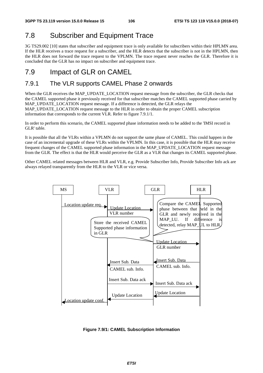# 7.8 Subscriber and Equipment Trace

3G TS29.002 [10] states that subscriber and equipment trace is only available for subscribers within their HPLMN area. If the HLR receives a trace request for a subscriber, and the HLR detects that the subscriber is not in the HPLMN, then the HLR does not forward the trace request to the VPLMN. The trace request never reaches the GLR. Therefore it is concluded that the GLR has no impact on subscriber and equipment trace.

# 7.9 Impact of GLR on CAMEL

# 7.9.1 The VLR supports CAMEL Phase 2 onwards

When the GLR receives the MAP\_UPDATE\_LOCATION request message from the subscriber, the GLR checks that the CAMEL supported phase it previously received for that subscriber matches the CAMEL supported phase carried by MAP\_UPDATE\_LOCATION request message. If a difference is detected, the GLR relays the MAP\_UPDATE\_LOCATION request message to the HLR in order to obtain the proper CAMEL subscription information that corresponds to the current VLR. Refer to figure 7.9.1/1.

In order to perform this scenario, the CAMEL supported phase information needs to be added to the 'IMSI record in GLR' table.

It is possible that all the VLRs within a VPLMN do not support the same phase of CAMEL. This could happen in the case of an incremental upgrade of these VLRs within the VPLMN. In this case, it is possible that the HLR may receive frequent changes of the CAMEL supported phase information in the MAP\_UPDATE\_LOCATION request message from the GLR. The effect is that the HLR would perceive the GLR as a VLR that changes its CAMEL supported phase.

Other CAMEL related messages between HLR and VLR, e.g. Provide Subscriber Info, Provide Subscriber Info ack are always relayed transparently from the HLR to the VLR or vice versa.



**Figure 7.9/1: CAMEL Subscription Information**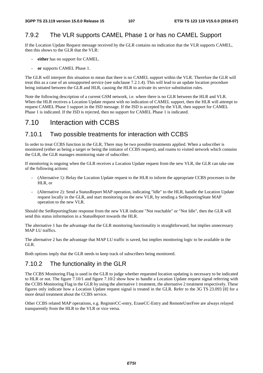# 7.9.2 The VLR supports CAMEL Phase 1 or has no CAMEL Support

If the Location Update Request message received by the GLR contains no indication that the VLR supports CAMEL, then this shows to the GLR that the VLR:

- **either** has no support for CAMEL.
- **or** supports CAMEL Phase 1.

The GLR will interpret this situation to mean that there is no CAMEL support within the VLR. Therefore the GLR will treat this as a case of an unsupported service (see subclause 7.2.1.4). This will lead to an update location procedure being initiated between the GLR and HLR, causing the HLR to activate its service substitution rules.

Note the following description of a current GSM network, i.e. where there is no GLR between the HLR and VLR. When the HLR receives a Location Update request with no indication of CAMEL support, then the HLR will attempt to request CAMEL Phase 1 support in the ISD message. If the ISD is accepted by the VLR, then support for CAMEL Phase 1 is indicated. If the ISD is rejected, then no support for CAMEL Phase 1 is indicated.

# 7.10 Interaction with CCBS

## 7.10.1 Two possible treatments for interaction with CCBS

In order to treat CCBS function in the GLR, There may be two possible treatments applied. When a subscriber is monitored (either as being a target or being the initiator of CCBS request), and roams to visited network which contains the GLR, the GLR manages monitoring state of subscriber.

If monitoring is ongoing when the GLR receives a Location Update request from the new VLR, the GLR can take one of the following actions:

- (Alternative 1): Relay the Location Update request to the HLR to inform the appropriate CCBS processes in the HLR, or
- (Alternative 2): Send a StatusReport MAP operation, indicating "Idle" to the HLR, handle the Location Update request locally in the GLR, and start monitoring on the new VLR, by sending a SetReportingState MAP operation to the new VLR.

Should the SetReportingState response from the new VLR indicate "Not reachable" or "Not Idle", then the GLR will send this status information in a StatusReport towards the HLR.

The alternative 1 has the advantage that the GLR monitoring functionality is straightforward, but implies unnecessary MAP LU traffics.

The alternative 2 has the advantage that MAP LU traffic is saved, but implies monitoring logic to be available in the GLR.

Both options imply that the GLR needs to keep track of subscribers being monitored.

# 7.10.2 The functionality in the GLR

The CCBS Monitoring Flag is used in the GLR to judge whether requested location updating is necessary to be indicated to HLR or not. The figure 7.10/1 and figure 7.10/2 show how to handle a Location Update request signal referring with the CCBS Monitoring Flag in the GLR by using the alternative 1 treatment, the alternative 2 treatment respectively. These figures only indicate how a Location Update request signal is treated in the GLR. Refer to the 3G TS 23.093 [8] for a more detail treatment about the CCBS service.

Other CCBS related MAP operations, e.g. RegisterCC-entry, EraseCC-Entry and RemoteUserFree are always relayed transparently from the HLR to the VLR or vice versa.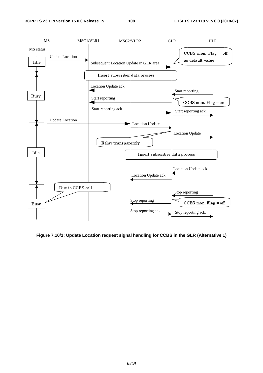

**Figure 7.10/1: Update Location request signal handling for CCBS in the GLR (Alternative 1)**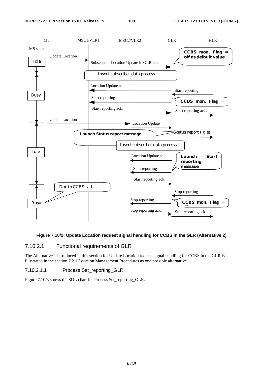

#### **Figure 7.10/2: Update Location request signal handling for CCBS in the GLR (Alternative 2)**

## 7.10.2.1 Functional requirements of GLR

The Alternative 1 introduced in this section for Update Location request signal handling for CCBS in the GLR is illustrated in the section 7.2.1 Location Management Procedures as one possible alternative.

#### 7.10.2.1.1 Process Set\_reporting\_GLR

Figure 7.10/3 shows the SDL chart for Process Set\_reporting\_GLR.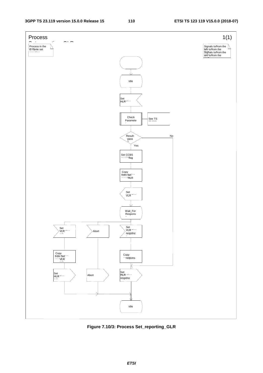

**Figure 7.10/3: Process Set\_reporting\_GLR**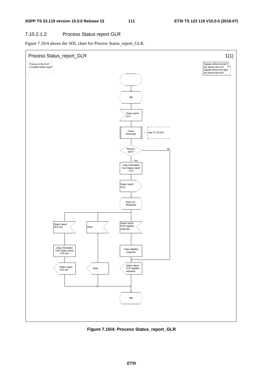# 7.10.2.1.2 Process Status report GLR

Figure 7.10/4 shows the SDL chart for Process Status\_report\_GLR.



**Figure 7.10/4: Process Status\_report\_GLR**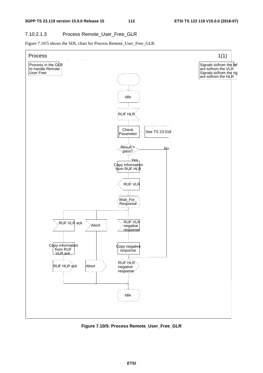# 7.10.2.1.3 Process Remote\_User\_Free\_GLR

Figure 7.10/5 shows the SDL chart for Process Remote\_User\_Free\_GLR.



**Figure 7.10/5: Process Remote\_User\_Free\_GLR**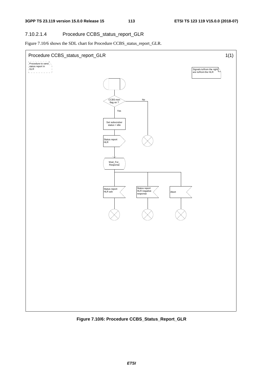#### 7.10.2.1.4 Procedure CCBS\_status\_report\_GLR

Figure 7.10/6 shows the SDL chart for Procedure CCBS\_status\_report\_GLR.



**Figure 7.10/6: Procedure CCBS\_Status\_Report\_GLR**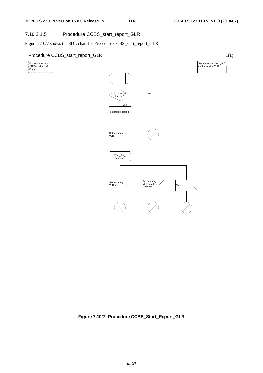#### 7.10.2.1.5 Procedure CCBS\_start\_report\_GLR

Figure 7.10/7 shows the SDL chart for Procedure CCBS\_start\_report\_GLR



**Figure 7.10/7: Procedure CCBS\_Start\_Report\_GLR**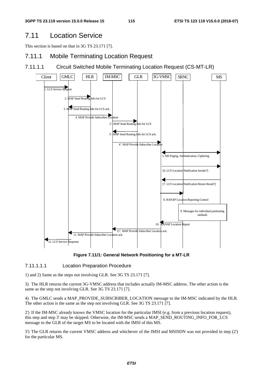# 7.11 Location Service

This section is based on that in 3G TS 23.171 [7].

# 7.11.1 Mobile Terminating Location Request

7.11.1.1 Circuit Switched Mobile Terminating Location Request (CS-MT-LR)



**Figure 7.11/1: General Network Positioning for a MT-LR** 

## 7.11.1.1.1 Location Preparation Procedure

1) and 2) Same as the steps not involving GLR. See 3G TS 23.171 [7].

3) The HLR returns the current 3G-VMSC address that includes actually IM-MSC address. The other action is the same as the step not involving GLR. See 3G TS 23.171 [7].

4) The GMLC sends a MAP\_PROVIDE\_SUBSCRIBER\_LOCATION message to the IM-MSC indicated by the HLR. The other action is the same as the step not involving GLR. See 3G TS 23.171 [7].

2') If the IM-MSC already knows the VMSC location for the particular IMSI (e.g. from a previous location request), this step and step 3' may be skipped. Otherwise, the IM-MSC sends a MAP\_SEND\_ROUTING\_INFO\_FOR\_LCS message to the GLR of the target MS to be located with the IMSI of this MS.

3') The GLR returns the current VMSC address and whichever of the IMSI and MSISDN was not provided in step (2') for the particular MS.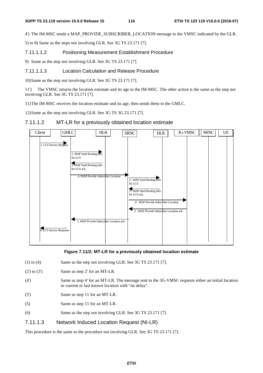4') The IM-MSC sends a MAP\_PROVIDE\_SUBSCRIBER\_LOCATION message to the VMSC indicated by the GLR.

5) to 8) Same as the steps not involving GLR. See 3G TS 23.171 [7].

7.11.1.1.2 Positioning Measurement Establishment Procedure

9) Same as the step not involving GLR. See 3G TS 23.171 [7].

#### 7.11.1.1.3 Location Calculation and Release Procedure

10) Same as the step not involving GLR. See 3G TS 23.171 [7].

11') The VMSC returns the location estimate and its age to the IM-MSC. The other action is the same as the step not involving GLR. See 3G TS 23.171 [7].

11) The IM-MSC receives the location estimate and its age, then sends them to the GMLC.

12) Same as the step not involving GLR. See 3G TS 3G 23.171 [7].

## 7.11.1.2 MT-LR for a previously obtained location estimate



**Figure 7.11/2: MT-LR for a previously obtained location estimate** 

- (1) to (4) Same as the step not involving GLR. See 3G TS 23.171 [7].
- $(2')$  to  $(3')$  Same as step 2' for an MT-LR.
- (4') Same as step 4' for an MT-LR. The message sent to the 3G-VMSC requests either an initial location or current or last known location with "no delay".
- (5') Same as step 11 for an MT-LR.
- (5) Same as step 11 for an MT-LR.
- (6) Same as the step not involving GLR. See 3G TS 23.171 [7].

## 7.11.1.3 Network Induced Location Request (NI-LR)

This procedure is the same as the procedure not involving GLR. See 3G TS 23.171 [7].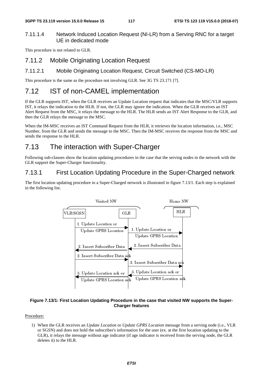# 7.11.1.4 Network Induced Location Request (NI-LR) from a Serving RNC for a target UE in dedicated mode

This procedure is not related to GLR.

# 7.11.2 Mobile Originating Location Request

# 7.11.2.1 Mobile Originating Location Request, Circuit Switched (CS-MO-LR)

This procedure is the same as the procedure not involving GLR. See 3G TS 23.171 [7].

# 7.12 IST of non-CAMEL implementation

If the GLR supports IST, when the GLR receives an Update Location request that indicates that the MSC/VLR supports IST, it relays the indication to the HLR. If not, the GLR may ignore the indication. When the GLR receives an IST Alert Request from the MSC, it relays the message to the HLR. The HLR sends an IST Alert Response to the GLR, and then the GLR relays the message to the MSC.

When the IM-MSC receives an IST Command Request from the HLR, it retrieves the location information, i.e., MSC Number, from the GLR and sends the message to the MSC. Then the IM-MSC receives the response from the MSC and sends the response to the HLR.

# 7.13 The interaction with Super-Charger

Following sub-clauses show the location updating procedures in the case that the serving nodes in the network with the GLR support the Super-Charger functionality.

# 7.13.1 First Location Updating Procedure in the Super-Charged network

The first location updating procedure in a Super-Charged network is illustrated in figure 7.13/1. Each step is explained in the following list.



#### **Figure 7.13/1: First Location Updating Procedure in the case that visited NW supports the Super-Charger features**

Procedure:

Update GPRS Location<br>Update GPRS Location<br>**i** in the case that visite<br>features<br>the GPRS Location message<br>ion for the user (ex. at the age indicator is received fr The case that visited N<br>
In the case that visited N<br>
datures<br>
GPRS *Location* message from<br>
the user (ex. at the first<br>
the indicator is received from Update GPRS Location<br>Chart Update GPRS Location<br>Chart<br>es an Update Location or U<br>t hold the subscriber's information (ion Updating Procedure<br>
Charger<br>
charger<br>
an *Update Location* or *Update Location*<br>
indicator (if<br>
dige without age indicator (if 1) When the GLR receives an *Update Location* or *Update GPRS Location* message from a serving node (i.e., VLR or SGSN) and does not hold the subscriber's information for the user (ex. at the first location updating to the GLR), it relays the message without age indicator (if age indicator is received from the serving node, the GLR deletes it) to the HLR.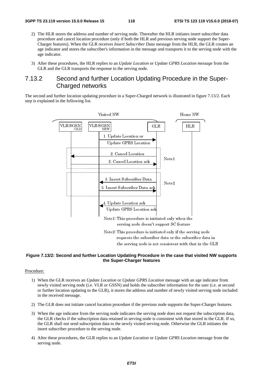- 2) The HLR stores the address and number of serving node. Thereafter the HLR initiates insert subscriber data procedure and cancel location procedure (only if both the HLR and previous serving node support the Super-Charger features). When the GLR receives *Insert Subscriber Data* message from the HLR, the GLR creates an age indicator and stores the subscriber's information in the message and transports it to the serving node with the age indicator.
- 3) After these procedures, the HLR replies to an *Update Location* or *Update GPRS Location message* from the GLR and the GLR transports the response to the serving node.

# 7.13.2 Second and further Location Updating Procedure in the Super-Charged networks

The second and further location updating procedure in a Super-Charged network is illustrated in figure 7.13/2. Each step is explained in the following list.



#### **Figure 7.13/2: Second and further Location Updating Procedure in the case that visited NW supports the Super-Charger features**

#### Procedure:

- 1) When the GLR receives an *Update Location* or *Update GPRS Location* message with an age indicator from newly visited serving node (i.e. VLR or GSSN) and holds the subscriber information for the user (i.e. at second or further location updating to the GLR), it stores the address and number of newly visited serving node included in the received message.
- 2) The GLR does not initiate cancel location procedure if the previous node supports the Super-Charger features.
- requests the subscriber data or the subscriber data<br>the serving node is not consistent with that in the<br>**cation Updating Procedure in the case that visited**<br>the **Super-Charger features**<br>ocation or Update GPRS Location mess reading **the serving node is not consistent with that in the GL**<br> **Cation Updating Procedure in the case that visited NW**<br> **Cation or Update GPRS Location message with an age indicator or GSSN) and holds the subscriber inf** cation Updating Procedure in the case that visited NW the Super-Charger features<br>the Super-Charger features<br>ocation or Update GPRS Location message with an age indicator<br>or GSSN) and holds the subscriber information for th 3) When the age indicator from the serving node indicates the serving node does not request the subscription data, the GLR checks if the subscription data retained in serving node is consistent with that stored in the GLR. If so, the GLR shall not send subscription data to the newly visited serving node. Otherwise the GLR initiates the insert subscriber procedure to the serving node.
- 4) After these procedures, the GLR replies to an *Update Location* or *Update GPRS Location* message from the serving node.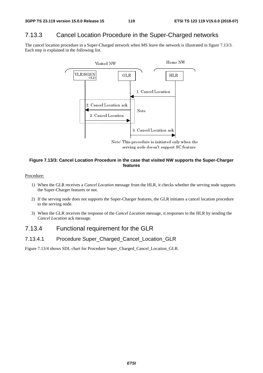# 7.13.3 Cancel Location Procedure in the Super-Charged networks

The cancel location procedure in a Super-Charged network when MS leave the network is illustrated in figure 7.13/3. Each step is explained in the following list.



# Evening node doesn't support SC feature<br>
In the case that visited NW supports the<br>
features<br>
In message from the HLR, it checks whether the is<br>
Super-Charger features, the GLR initiates a cance<br>
ine Cancel Location message serving and antistical NW supports from the case that visited NW supports from the HLR, it checks whether the<br>super-Charger features, the GLR initiates a canceler Charger features, the GLR initiates a canceler Charged Loca **Figure 7.13/3: Cancel Location Procedure in the case that visited NW supports the Super-Charger features**

#### Procedure:

- 1) When the GLR receives a *Cancel Location* message from the HLR, it checks whether the serving node supports the Super-Charger features or not.
- 2) If the serving node does not supports the Super-Charger features, the GLR initiates a cancel location procedure to the serving node.
- 3) When the GLR receives the response of the *Cancel Location* message, it responses to the HLR by sending the *Cancel Location* ack message.

# 7.13.4 Functional requirement for the GLR

#### 7.13.4.1 Procedure Super\_Charged\_Cancel\_Location\_GLR

Figure 7.13/4 shows SDL chart for Procedure Super\_Charged\_Cancel\_Location\_GLR.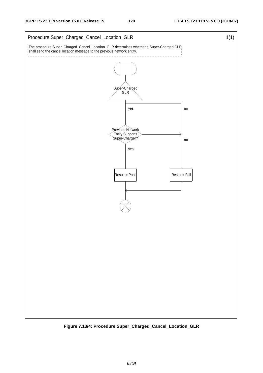

**Figure 7.13/4: Procedure Super\_Charged\_Cancel\_Location\_GLR**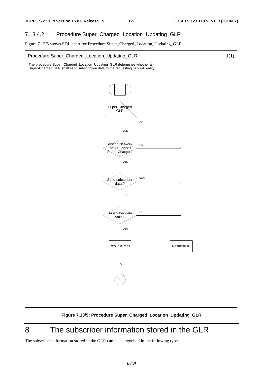# 7.13.4.2 Procedure Super\_Charged\_Location\_Updating\_GLR

Figure 7.13/5 shows SDL chart for Procedure Super\_Charged\_Location\_Updating\_GLR.



**Figure 7.13/5: Procedure Super\_Charged\_Location\_Updating\_GLR** 

# 8 The subscriber information stored in the GLR

The subscriber information stored in the GLR can be categorised in the following types.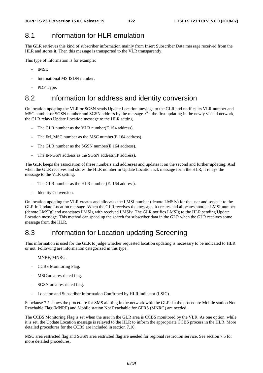# 8.1 Information for HLR emulation

The GLR retrieves this kind of subscriber information mainly from Insert Subscriber Data message received from the HLR and stores it. Then this message is transported to the VLR transparently.

This type of information is for example:

- IMSI.
- International MS ISDN number.
- PDP Type.

# 8.2 Information for address and identity conversion

On location updating the VLR or SGSN sends Update Location message to the GLR and notifies its VLR number and MSC number or SGSN number and SGSN address by the message. On the first updating in the newly visited network, the GLR relays Update Location message to the HLR setting.

- The GLR number as the VLR number(E.164 address).
- The IM\_MSC number as the MSC number(E.164 address).
- The GLR number as the SGSN number(E.164 address).
- The IM-GSN address as the SGSN address (IP address).

The GLR keeps the association of these numbers and addresses and updates it on the second and further updating. And when the GLR receives and stores the HLR number in Update Location ack message form the HLR, it relays the message to the VLR setting.

- The GLR number as the HLR number (E. 164 address).
- Identity Conversion.

On location updating the VLR creates and allocates the LMSI number (denote LMSIv) for the user and sends it to the GLR in Update Location message. When the GLR receives the message, it creates and allocates another LMSI number (denote LMSIg) and associates LMSIg with received LMSIv. The GLR notifies LMSIg to the HLR sending Update Location message. This method can speed up the search for subscriber data in the GLR when the GLR receives some message from the HLR.

# 8.3 Information for Location updating Screening

This information is used for the GLR to judge whether requested location updating is necessary to be indicated to HLR or not. Following are information categorized in this type.

#### MNRF, MNRG.

- CCBS Monitoring Flag.
- MSC area restricted flag.
- SGSN area restricted flag.
- Location and Subscriber information Confirmed by HLR indicator (LSIC).

Subclause 7.7 shows the procedure for SMS alerting in the network with the GLR. In the procedure Mobile station Not Reachable Flag (MNRF) and Mobile station Not Reachable for GPRS (MNRG) are needed.

The CCBS Monitoring Flag is set when the user in the GLR area is CCBS monitored by the VLR. As one option, while it is set, the Update Location message is relayed to the HLR to inform the appropriate CCBS process in the HLR. More detailed procedures for the CCBS are included in section 7.10.

MSC area restricted flag and SGSN area restricted flag are needed for regional restriction service. See section 7.5 for more detailed procedures.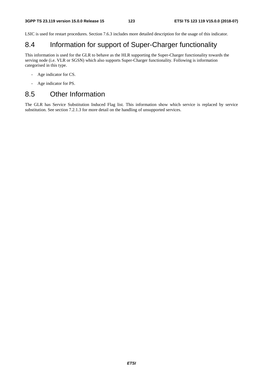LSIC is used for restart procedures. Section 7.6.3 includes more detailed description for the usage of this indicator.

# 8.4 Information for support of Super-Charger functionality

This information is used for the GLR to behave as the HLR supporting the Super-Charger functionality towards the serving node (i.e. VLR or SGSN) which also supports Super-Charger functionality. Following is information categorised in this type.

- Age indicator for CS.
- Age indicator for PS.

# 8.5 Other Information

The GLR has Service Substitution Induced Flag list. This information show which service is replaced by service substitution. See section 7.2.1.3 for more detail on the handling of unsupported services.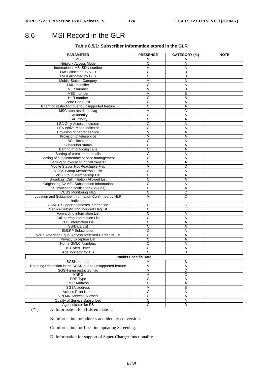# 8.6 IMSI Record in the GLR

#### **Table 8.5/1: Subscriber Information stored in the GLR**

| <b>PARAMETER</b>                                           | <b>PRESENCE</b>              | CATEGORY (*1)  | <b>NOTE</b> |  |  |
|------------------------------------------------------------|------------------------------|----------------|-------------|--|--|
| <b>IMSI</b>                                                | м                            | Α              |             |  |  |
| Network Access Mode                                        | С                            | Α              |             |  |  |
| International MS ISDN number                               | М                            | Α              |             |  |  |
| LMSI allocated by VLR                                      | C                            | B              |             |  |  |
| LMSI allocated by GLR                                      | C                            | B              |             |  |  |
| <b>Mobile Station Category</b>                             | $\overline{M}$               | A              |             |  |  |
| <b>LMU</b> Identifier                                      | $\mathsf{C}$                 | Α              |             |  |  |
| VLR number                                                 | M                            | B              |             |  |  |
| MSC number                                                 | М                            | B              |             |  |  |
| HLR number                                                 | C                            | B              |             |  |  |
| Zone Code List                                             | $\overline{\text{c}}$        | Α              |             |  |  |
| Roaming restriction due to unsupported feature             | C                            | Α              |             |  |  |
| MSC area restricted flag                                   | M                            | С              |             |  |  |
| <b>LSA Identity</b>                                        | C                            | Α              |             |  |  |
| <b>LSA Priority</b>                                        | C                            | Α              |             |  |  |
| <b>LSA Only Access Indicator</b>                           | C                            | Α              |             |  |  |
| <b>LSA Active Mode Indicator</b>                           | C                            | Α              |             |  |  |
| Provision of bearer service                                | M                            | Α              |             |  |  |
| Provision of teleservice                                   | $\overline{M}$               | A              |             |  |  |
| <b>BC</b> allocation                                       | С                            | Α              |             |  |  |
| Subscriber status                                          | C                            | Α              |             |  |  |
| Barring of outgoing calls                                  | $\overline{\text{c}}$        | Α              |             |  |  |
| Barring of premium rate calls                              | $\overline{\text{c}}$        | Α              |             |  |  |
| Barring of supplementary service management                | C                            | Α              |             |  |  |
| Barring of invocation of call transfer                     | C                            | Α              |             |  |  |
| Mobile Station Not Reachable Flag                          | M                            | С              |             |  |  |
| VGCS Group Membership List                                 | C                            | Α              |             |  |  |
| <b>VBS Group Membership List</b>                           | $\overline{C}$               | Α              |             |  |  |
| <b>Broadcast Call Initiation Allowed List</b>              | $\overline{\text{c}}$        | Α              |             |  |  |
| Originating CAMEL Subscription Information                 | $\overline{\text{c}}$        | Α              |             |  |  |
| SS invocation notification (SS-CSI)                        | $\mathsf{C}$                 | Α              |             |  |  |
| <b>CCBS Monitoring Flag</b>                                | C                            | C              |             |  |  |
| Location and Subscriber information Confirmed by HLR       | M                            | C              |             |  |  |
| indicator                                                  |                              |                |             |  |  |
| <b>CAMEL Supported phases information</b>                  | C                            | С              |             |  |  |
| Service Substitution Induced Flag list                     | C                            | E              |             |  |  |
| Forwarding information List                                | C                            | Α              |             |  |  |
| Call barring information List                              | C                            | Α              |             |  |  |
| <b>CUG</b> information List                                | С                            | Α              |             |  |  |
| SS-Data List                                               | $\overline{\text{c}}$        | A              |             |  |  |
| <b>EMLPP Subscription</b>                                  | C                            | Α              |             |  |  |
| North American Equal Access preferred Carrier Id List      | C                            | Α              |             |  |  |
| <b>Privacy Exception List</b>                              | C                            | Α              |             |  |  |
| Home GMLC Numbers                                          | С                            | Α              |             |  |  |
| <b>IST Alert Timer</b>                                     | C                            | A              |             |  |  |
| Age indicator for CS                                       | С                            | D              |             |  |  |
|                                                            |                              |                |             |  |  |
| <b>Packet Specific Data</b><br>M                           |                              |                |             |  |  |
| SGSN number                                                |                              | В              |             |  |  |
| Roaming Restriction in the SGSN due to unsupported feature | M                            | $\overline{A}$ |             |  |  |
| SGSN area restricted flag<br><b>MNRG</b>                   | М<br>$\overline{\mathsf{M}}$ | C              |             |  |  |
|                                                            |                              | C              |             |  |  |
| <b>PDP Type</b>                                            | $\overline{\text{c}}$        | Α              |             |  |  |
| <b>PDP</b> Address                                         | $\overline{C}$               | A              |             |  |  |
| <b>SGSN</b> address                                        | M                            | $\overline{B}$ |             |  |  |
| <b>Access Point Name</b>                                   | C                            | Α              |             |  |  |
| <b>VPLMN Address Allowed</b>                               | $\overline{\mathsf{c}}$      | A              |             |  |  |
| Quality of Service Subscribed                              | $\overline{\mathsf{C}}$      | A              |             |  |  |
| Age indicator for PS                                       | $\overline{C}$               | D              |             |  |  |

(\*1) A: Information for HLR emulation.

B: Information for address and identity conversion.

C: Information for Location updating Screening.

D: Information for support of Super-Charger functionality.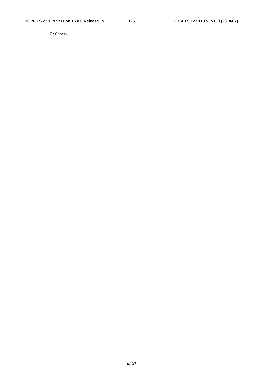E: Others.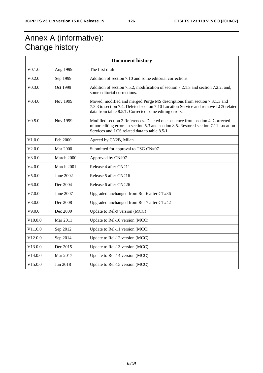# Annex A (informative): Change history

| <b>Document history</b> |                 |                                                                                                                                                                                                                          |
|-------------------------|-----------------|--------------------------------------------------------------------------------------------------------------------------------------------------------------------------------------------------------------------------|
| V <sub>0.1.0</sub>      | Aug 1999        | The first draft.                                                                                                                                                                                                         |
| V0.2.0                  | Sep 1999        | Addition of section 7.10 and some editorial corrections.                                                                                                                                                                 |
| V0.3.0                  | Oct 1999        | Addition of section 7.5.2, modification of section 7.2.1.3 and section 7.2.2, and,<br>some editorial corrections.                                                                                                        |
| V0.4.0                  | Nov 1999        | Moved, modified and merged Purge MS descriptions from section 7.3.1.3 and<br>7.3.3 to section 7.4. Deleted section 7.10 Location Service and remove LCS related<br>data from table 8.5/1. Corrected some editing errors. |
| V0.5.0                  | Nov 1999        | Modified section 2 References. Deleted one sentence from section 4. Corrected<br>minor editing errors in section 5.3 and section 8.5. Restored section 7.11 Location<br>Services and LCS related data to table 8.5/1.    |
| V1.0.0                  | Feb 2000        | Agreed by CN2B, Milan                                                                                                                                                                                                    |
| V2.0.0                  | <b>Mar 2000</b> | Submitted for approval to TSG CN#07                                                                                                                                                                                      |
| V3.0.0                  | March 2000      | Approved by CN#07                                                                                                                                                                                                        |
| V4.0.0                  | March 2001      | Release 4 after CN#11                                                                                                                                                                                                    |
| V5.0.0                  | June 2002       | Release 5 after CN#16                                                                                                                                                                                                    |
| V6.0.0                  | Dec 2004        | Release 6 after CN#26                                                                                                                                                                                                    |
| V7.0.0                  | June 2007       | Upgraded unchanged from Rel-6 after CT#36                                                                                                                                                                                |
| V8.0.0                  | Dec 2008        | Upgraded unchanged from Rel-7 after CT#42                                                                                                                                                                                |
| V9.0.0                  | Dec 2009        | Update to Rel-9 version (MCC)                                                                                                                                                                                            |
| V10.0.0                 | Mar 2011        | Update to Rel-10 version (MCC)                                                                                                                                                                                           |
| V11.0.0                 | Sep 2012        | Update to Rel-11 version (MCC)                                                                                                                                                                                           |
| V12.0.0                 | Sep 2014        | Update to Rel-12 version (MCC)                                                                                                                                                                                           |
| V13.0.0                 | Dec 2015        | Update to Rel-13 version (MCC)                                                                                                                                                                                           |
| V14.0.0                 | Mar 2017        | Update to Rel-14 version (MCC)                                                                                                                                                                                           |
| V15.0.0                 | Jun 2018        | Update to Rel-15 version (MCC)                                                                                                                                                                                           |